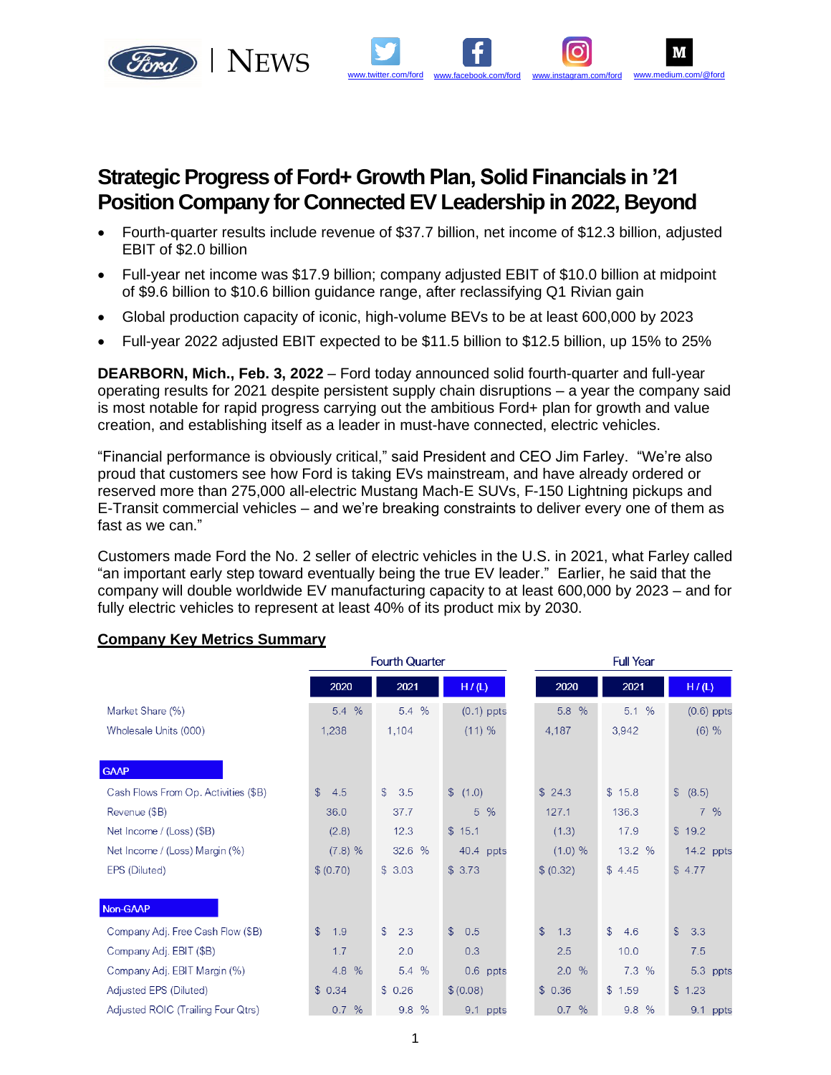

# **Strategic Progress of Ford+ Growth Plan, Solid Financials in '21 Position Company for Connected EV Leadership in 2022, Beyond**

• Fourth-quarter results include revenue of \$37.7 billion, net income of \$12.3 billion, adjusted EBIT of \$2.0 billion

[www.twitter.com/ford](http://www.facebook.com/ford) [www.facebook.com/ford](http://www.facebook.com/ford) [www.instagram.com/ford](http://twitter.com/#!/Ford) [www.medium.com/@ford](http://twitter.com/#!/Ford)

M

- Full-year net income was \$17.9 billion; company adjusted EBIT of \$10.0 billion at midpoint of \$9.6 billion to \$10.6 billion guidance range, after reclassifying Q1 Rivian gain
- Global production capacity of iconic, high-volume BEVs to be at least 600,000 by 2023
- Full-year 2022 adjusted EBIT expected to be \$11.5 billion to \$12.5 billion, up 15% to 25%

**DEARBORN, Mich., Feb. 3, 2022** – Ford today announced solid fourth-quarter and full-year operating results for 2021 despite persistent supply chain disruptions – a year the company said is most notable for rapid progress carrying out the ambitious Ford+ plan for growth and value creation, and establishing itself as a leader in must-have connected, electric vehicles.

"Financial performance is obviously critical," said President and CEO Jim Farley. "We're also proud that customers see how Ford is taking EVs mainstream, and have already ordered or reserved more than 275,000 all-electric Mustang Mach-E SUVs, F-150 Lightning pickups and E-Transit commercial vehicles – and we're breaking constraints to deliver every one of them as fast as we can."

Customers made Ford the No. 2 seller of electric vehicles in the U.S. in 2021, what Farley called "an important early step toward eventually being the true EV leader." Earlier, he said that the company will double worldwide EV manufacturing capacity to at least 600,000 by 2023 – and for fully electric vehicles to represent at least 40% of its product mix by 2030.

|                                      |                      | <b>Fourth Quarter</b> |                     |                      | <b>Full Year</b>     |                     |  |  |  |
|--------------------------------------|----------------------|-----------------------|---------------------|----------------------|----------------------|---------------------|--|--|--|
|                                      | 2020                 | 2021                  | H/(L)               | 2020                 | 2021                 | H/(L)               |  |  |  |
| Market Share (%)                     | 5.4 %                | 5.4 %                 | $(0.1)$ ppts        | $\frac{0}{6}$<br>5.8 | 5.1%                 | $(0.6)$ ppts        |  |  |  |
| Wholesale Units (000)                | 1,238                | 1,104                 | (11) %              | 4,187                | 3,942                | (6) %               |  |  |  |
| <b>GAAP</b>                          |                      |                       |                     |                      |                      |                     |  |  |  |
| Cash Flows From Op. Activities (\$B) | $\mathbb{S}$<br>4.5  | $\mathcal{S}$<br>3.5  | \$(1.0)             | \$24.3               | \$15.8               | \$ (8.5)            |  |  |  |
| Revenue (\$B)                        | 36.0                 | 37.7                  | $5\%$               | 127.1                | 136.3                | 7%                  |  |  |  |
| Net Income / (Loss) (\$B)            | (2.8)                | 12.3                  | \$15.1              | (1.3)                | 17.9                 | \$19.2              |  |  |  |
| Net Income / (Loss) Margin (%)       | (7.8) %              | 32.6 %                | 40.4 ppts           | (1.0) %              | 13.2 %               | 14.2 ppts           |  |  |  |
| EPS (Diluted)                        | \$ (0.70)            | \$3.03                | \$3.73              | \$ (0.32)            | \$4.45               | \$4.77              |  |  |  |
| Non-GAAP                             |                      |                       |                     |                      |                      |                     |  |  |  |
| Company Adj. Free Cash Flow (\$B)    | $\mathcal{S}$<br>1.9 | $\mathcal{S}$<br>2.3  | $\mathbb{S}$<br>0.5 | $\mathbb{S}$<br>1.3  | $\mathcal{L}$<br>4.6 | $\mathbb{S}$<br>3.3 |  |  |  |
| Company Adj. EBIT (\$B)              | 1.7                  | 2.0                   | 0.3                 | 2.5                  | 10.0                 | 7.5                 |  |  |  |
| Company Adj. EBIT Margin (%)         | 4.8%                 | 5.4 %                 | 0.6 ppts            | 2.0%                 | 7.3%                 | 5.3 ppts            |  |  |  |
| Adjusted EPS (Diluted)               | \$0.34               | \$0.26                | \$ (0.08)           | \$0.36               | \$1.59               | \$1.23              |  |  |  |
| Adjusted ROIC (Trailing Four Qtrs)   | 0.7%                 | 9.8 %                 | 9.1 ppts            | 0.7%                 | 9.8 %                | 9.1 ppts            |  |  |  |

## **Company Key Metrics Summary**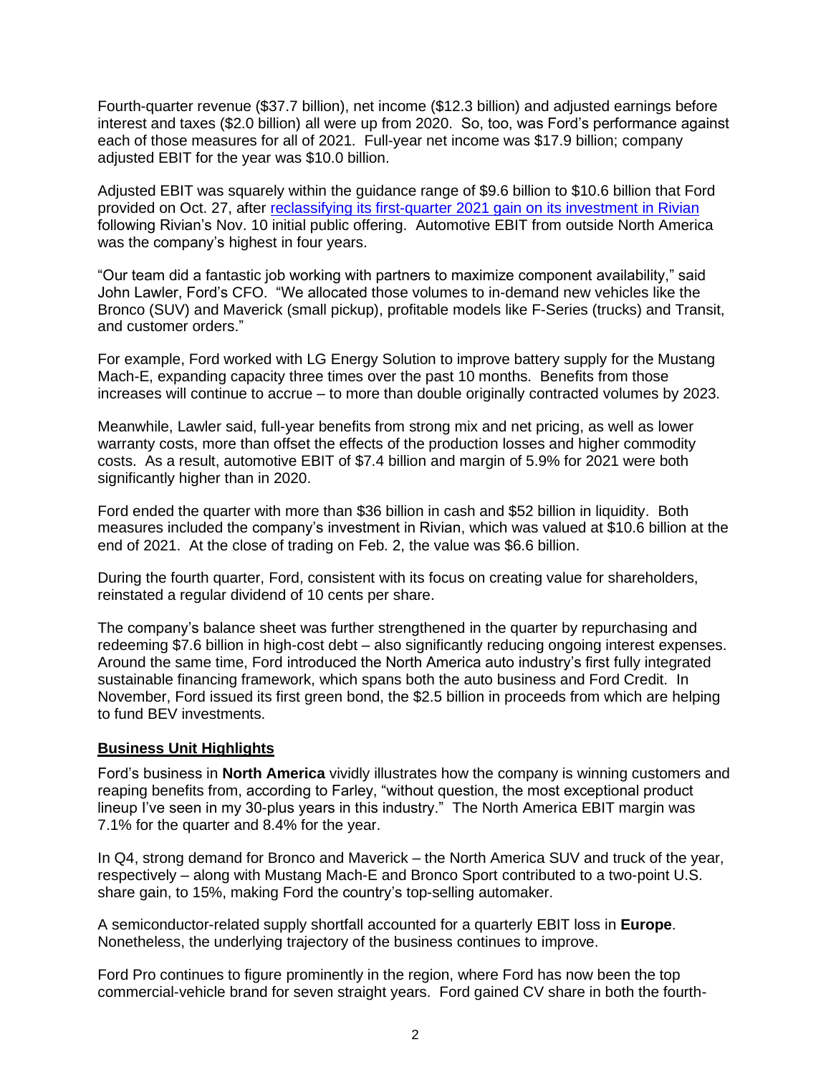Fourth-quarter revenue (\$37.7 billion), net income (\$12.3 billion) and adjusted earnings before interest and taxes (\$2.0 billion) all were up from 2020. So, too, was Ford's performance against each of those measures for all of 2021. Full-year net income was \$17.9 billion; company adjusted EBIT for the year was \$10.0 billion.

Adjusted EBIT was squarely within the guidance range of \$9.6 billion to \$10.6 billion that Ford provided on Oct. 27, after reclassifying its [first-quarter 2021 gain on its investment in](https://media.ford.com/content/fordmedia/fna/us/en/news/2022/01/18/ford-update-special-items-fy2021-results.html) Rivian following Rivian's Nov. 10 initial public offering. Automotive EBIT from outside North America was the company's highest in four years.

"Our team did a fantastic job working with partners to maximize component availability," said John Lawler, Ford's CFO. "We allocated those volumes to in-demand new vehicles like the Bronco (SUV) and Maverick (small pickup), profitable models like F-Series (trucks) and Transit, and customer orders."

For example, Ford worked with LG Energy Solution to improve battery supply for the Mustang Mach-E, expanding capacity three times over the past 10 months. Benefits from those increases will continue to accrue – to more than double originally contracted volumes by 2023.

Meanwhile, Lawler said, full-year benefits from strong mix and net pricing, as well as lower warranty costs, more than offset the effects of the production losses and higher commodity costs. As a result, automotive EBIT of \$7.4 billion and margin of 5.9% for 2021 were both significantly higher than in 2020.

Ford ended the quarter with more than \$36 billion in cash and \$52 billion in liquidity. Both measures included the company's investment in Rivian, which was valued at \$10.6 billion at the end of 2021. At the close of trading on Feb. 2, the value was \$6.6 billion.

During the fourth quarter, Ford, consistent with its focus on creating value for shareholders, reinstated a regular dividend of 10 cents per share.

The company's balance sheet was further strengthened in the quarter by repurchasing and redeeming \$7.6 billion in high-cost debt – also significantly reducing ongoing interest expenses. Around the same time, Ford introduced the North America auto industry's first fully integrated sustainable financing framework, which spans both the auto business and Ford Credit. In November, Ford issued its first green bond, the \$2.5 billion in proceeds from which are helping to fund BEV investments.

## **Business Unit Highlights**

Ford's business in **North America** vividly illustrates how the company is winning customers and reaping benefits from, according to Farley, "without question, the most exceptional product lineup I've seen in my 30-plus years in this industry." The North America EBIT margin was 7.1% for the quarter and 8.4% for the year.

In Q4, strong demand for Bronco and Maverick – the North America SUV and truck of the year, respectively – along with Mustang Mach-E and Bronco Sport contributed to a two-point U.S. share gain, to 15%, making Ford the country's top-selling automaker.

A semiconductor-related supply shortfall accounted for a quarterly EBIT loss in **Europe**. Nonetheless, the underlying trajectory of the business continues to improve.

Ford Pro continues to figure prominently in the region, where Ford has now been the top commercial-vehicle brand for seven straight years. Ford gained CV share in both the fourth-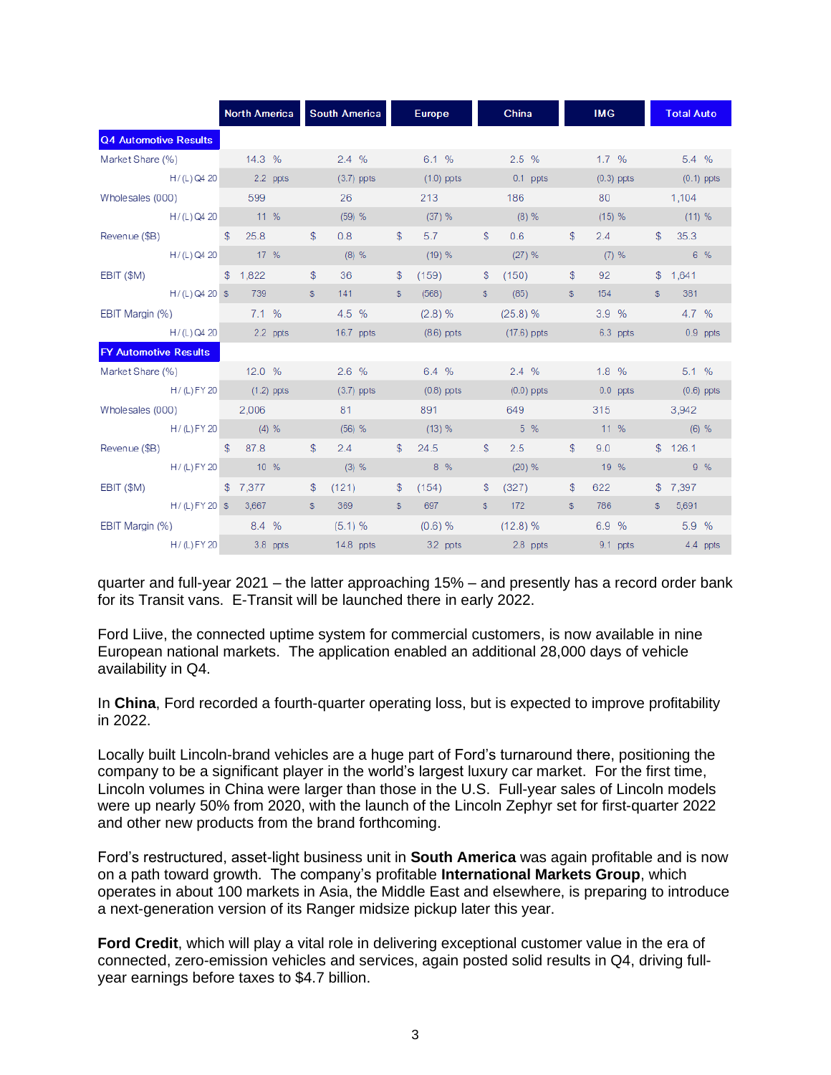|                              |                          | <b>North America</b> |                        | <b>South America</b> |              | <b>Europe</b>                                                                                                                                                                                                                  |              | China                        |                | <b>IMG</b> |                                 |              | <b>Total Auto</b> |          |
|------------------------------|--------------------------|----------------------|------------------------|----------------------|--------------|--------------------------------------------------------------------------------------------------------------------------------------------------------------------------------------------------------------------------------|--------------|------------------------------|----------------|------------|---------------------------------|--------------|-------------------|----------|
| <b>Q4 Automotive Results</b> |                          |                      |                        |                      |              |                                                                                                                                                                                                                                |              |                              |                |            |                                 |              |                   |          |
| Market Share (%) 14.3 %      |                          |                      |                        | $2.4\%$              |              |                                                                                                                                                                                                                                |              | 6.1 % 2.5 %                  |                |            | $1.7\%$ 5.4 %                   |              |                   |          |
|                              | H/(L) Q4 20 2.2 ppts     |                      |                        | $(3.7)$ ppts         |              | $(1.0)$ ppts                                                                                                                                                                                                                   |              | and <b>0.1 ppts</b>          |                |            | $(0.3)$ ppts $(0.1)$ ppts       |              |                   |          |
| Wholesales (000) 599         |                          |                      |                        | 26                   |              | 213                                                                                                                                                                                                                            |              | 186                          |                |            | $80$ and $\sim$                 |              | 1,104             |          |
|                              | H/(L) Q4 20 11 %         |                      |                        | (59) %               |              | $(37)$ %                                                                                                                                                                                                                       |              | $(8) \%$                     |                | (15) %     |                                 |              | (11) %            |          |
| Revenue (\$B) \$             |                          | 25.8                 | $\mathbb{S}$           | 0.8                  | $\mathbb{S}$ | 5.7                                                                                                                                                                                                                            | $\mathbb{S}$ | 0.6                          | $\mathbb{S}$   | 2.4        |                                 | $\mathbb{S}$ | 35.3              |          |
|                              | H/(L) Q4 20 17 %         |                      |                        | $(8)$ %              |              | (19) %                                                                                                                                                                                                                         |              | $(27)$ %                     |                | $(7)$ %    |                                 |              | $6\%$             |          |
| EBIT (\$M)                   |                          | \$1,822              | $\mathfrak{S}$         | 36                   | \$           | (159)                                                                                                                                                                                                                          | \$           | (150)                        | $\mathfrak{S}$ | 92         |                                 |              | \$1,641           |          |
|                              | $H/(L)$ Q4 20 \$ 739     |                      | \$                     | 141                  | \$           | (568)                                                                                                                                                                                                                          | \$           | (85)                         | \$             | 154        |                                 | S            | 381               |          |
| EBIT Margin (%) 7.1 %        |                          |                      |                        | 4.5 %                |              | $(2.8) \%$                                                                                                                                                                                                                     |              | $(25.8)$ %                   |                | 3.9%       |                                 |              | 4.7 %             |          |
|                              | $H/(L)$ Q4 20            | 2.2 ppts             | <b>Service Service</b> | 16.7 ppts            |              | (8.6) ppts (17.6) ppts 6.3 ppts 6.3 ppts 6.4 ppts 6.4 ppts 6.4 ppts 6.5 ppts 6.4 ppts 6.4 ppts 6.4 ppts 6.5 ppts 6.4 ppts 6.4 ppts 6.4 ppts 6.4 ppts 6.4 ppts 6.4 ppts 6.4 ppts 6.4 ppts 6.4 ppts 6.4 ppts 6.4 ppts 6.4 ppts 6 |              |                              |                |            |                                 |              | 0.9 ppts          |          |
| <b>FY Automotive Results</b> |                          |                      |                        |                      |              |                                                                                                                                                                                                                                |              |                              |                |            |                                 |              |                   |          |
| Market Share (%) 12.0 %      |                          |                      |                        | $2.6\%$              |              | 6.4 %                                                                                                                                                                                                                          |              | 2.4 % 1.8 %                  |                |            |                                 |              | 5.1%              |          |
|                              | H / (L) FY 20 (1.2) ppts |                      |                        | $(3.7)$ ppts         |              | $(0.8)$ ppts                                                                                                                                                                                                                   |              | $(0.0)$ ppts                 |                |            | and <b>0.0</b> ppts to 0.0 ppts |              | $(0.6)$ ppts      |          |
| Wholesales (000) 2,006       |                          |                      |                        | 81                   |              | 891                                                                                                                                                                                                                            |              | 649                          |                |            | 315                             |              | 3,942             |          |
|                              | $H / (L) FY 20$ (4) %    |                      |                        | $(56)$ %             |              | $(13) \%$                                                                                                                                                                                                                      |              | $5\%$                        |                | $11\%$     |                                 |              | $(6)$ %           |          |
| Revenue (\$B) $$87.8$        |                          |                      | \$                     | 2.4                  | s.           | 24.5                                                                                                                                                                                                                           | \$.          | 2.5                          | $\mathbb{S}$   | 9.0        |                                 |              | \$126.1           |          |
|                              | H/(L) FY 20 10 %         |                      |                        | $(3) \%$             |              | $8\%$                                                                                                                                                                                                                          |              | $(20)$ %                     |                | 19 %       |                                 |              | $9\%$             |          |
| EBIT (\$M)                   | \$7,377                  |                      | s.                     | (121)                | $\mathbb{S}$ | (154)                                                                                                                                                                                                                          | \$.          | (327)                        | $\mathbb{S}$   | 622        |                                 |              | \$7,397           |          |
|                              | H / (L) FY 20 \$ 3,667   |                      | \$                     | 369                  | \$           | 697                                                                                                                                                                                                                            | \$           | 172                          | \$             | 786        |                                 | S            | 5,691             |          |
| EBIT Margin (%) 8.4 %        |                          |                      |                        | $(5.1) \%$           |              |                                                                                                                                                                                                                                |              | $(0.6) \%$ $(12.8) \%$ 6.9 % |                |            |                                 |              | $5.9 \%$          |          |
|                              | H / (L) FY 20 3.8 ppts   |                      |                        | 14.8 ppts            |              | and <b>3.2 ppts</b> 2.8 ppts                                                                                                                                                                                                   |              |                              |                | $9.1$ ppts |                                 |              |                   | 4.4 ppts |

quarter and full-year 2021 – the latter approaching 15% – and presently has a record order bank for its Transit vans. E-Transit will be launched there in early 2022.

Ford Liive, the connected uptime system for commercial customers, is now available in nine European national markets. The application enabled an additional 28,000 days of vehicle availability in Q4.

In **China**, Ford recorded a fourth-quarter operating loss, but is expected to improve profitability in 2022.

Locally built Lincoln-brand vehicles are a huge part of Ford's turnaround there, positioning the company to be a significant player in the world's largest luxury car market. For the first time, Lincoln volumes in China were larger than those in the U.S. Full-year sales of Lincoln models were up nearly 50% from 2020, with the launch of the Lincoln Zephyr set for first-quarter 2022 and other new products from the brand forthcoming.

Ford's restructured, asset-light business unit in **South America** was again profitable and is now on a path toward growth. The company's profitable **International Markets Group**, which operates in about 100 markets in Asia, the Middle East and elsewhere, is preparing to introduce a next-generation version of its Ranger midsize pickup later this year.

**Ford Credit**, which will play a vital role in delivering exceptional customer value in the era of connected, zero-emission vehicles and services, again posted solid results in Q4, driving fullyear earnings before taxes to \$4.7 billion.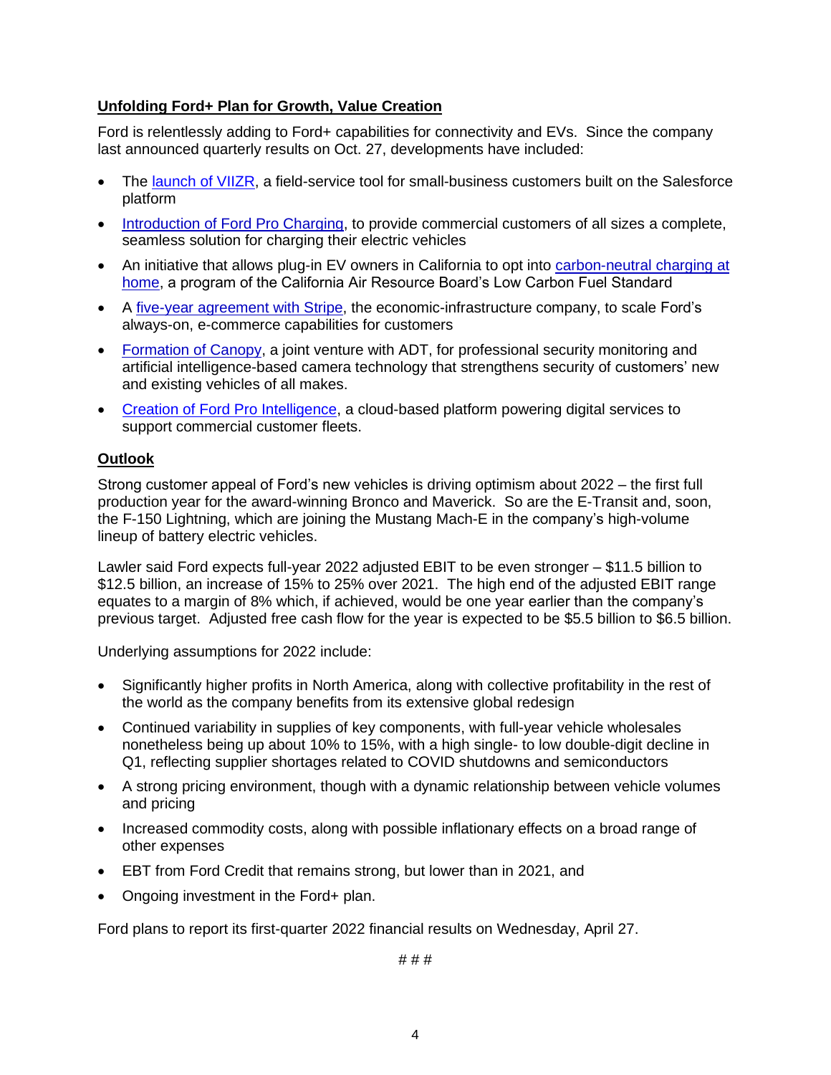## **Unfolding Ford+ Plan for Growth, Value Creation**

Ford is relentlessly adding to Ford+ capabilities for connectivity and EVs. Since the company last announced quarterly results on Oct. 27, developments have included:

- The [launch of VIIZR,](https://media.ford.com/content/fordmedia/fna/us/en/news/2021/12/07/ford-launches-viizr.html) a field-service tool for small-business customers built on the Salesforce platform
- [Introduction of Ford Pro Charging,](https://media.ford.com/content/fordmedia/fna/us/en/news/2021/12/16/ford-pro-charging-launches-to-help-businesses-of-all-sizes-overc.html) to provide commercial customers of all sizes a complete, seamless solution for charging their electric vehicles
- An initiative that allows plug-in EV owners in California to opt into carbon-neutral charging at [home,](https://media.ford.com/content/fordmedia/fna/us/en/news/2021/12/17/charging-with-purpose--ford-launches-zero-carbon-electric-vehicl.html) a program of the California Air Resource Board's Low Carbon Fuel Standard
- A [five-year agreement with Stripe,](https://media.ford.com/content/fordmedia/fna/us/en/news/2022/01/17/ford-credit.html) the economic-infrastructure company, to scale Ford's always-on, e-commerce capabilities for customers
- [Formation of Canopy,](https://media.ford.com/content/fordmedia/fna/us/en/news/2022/01/18/ford-and-adt.html) a joint venture with ADT, for professional security monitoring and artificial intelligence-based camera technology that strengthens security of customers' new and existing vehicles of all makes.
- [Creation of Ford Pro Intelligence,](https://media.ford.com/content/fordmedia/fna/us/en/news/2022/01/26/productivity-accelerated-ford-pro.html) a cloud-based platform powering digital services to support commercial customer fleets.

## **Outlook**

Strong customer appeal of Ford's new vehicles is driving optimism about 2022 – the first full production year for the award-winning Bronco and Maverick. So are the E-Transit and, soon, the F-150 Lightning, which are joining the Mustang Mach-E in the company's high-volume lineup of battery electric vehicles.

Lawler said Ford expects full-year 2022 adjusted EBIT to be even stronger – \$11.5 billion to \$12.5 billion, an increase of 15% to 25% over 2021. The high end of the adjusted EBIT range equates to a margin of 8% which, if achieved, would be one year earlier than the company's previous target. Adjusted free cash flow for the year is expected to be \$5.5 billion to \$6.5 billion.

Underlying assumptions for 2022 include:

- Significantly higher profits in North America, along with collective profitability in the rest of the world as the company benefits from its extensive global redesign
- Continued variability in supplies of key components, with full-year vehicle wholesales nonetheless being up about 10% to 15%, with a high single- to low double-digit decline in Q1, reflecting supplier shortages related to COVID shutdowns and semiconductors
- A strong pricing environment, though with a dynamic relationship between vehicle volumes and pricing
- Increased commodity costs, along with possible inflationary effects on a broad range of other expenses
- EBT from Ford Credit that remains strong, but lower than in 2021, and
- Ongoing investment in the Ford+ plan.

Ford plans to report its first-quarter 2022 financial results on Wednesday, April 27.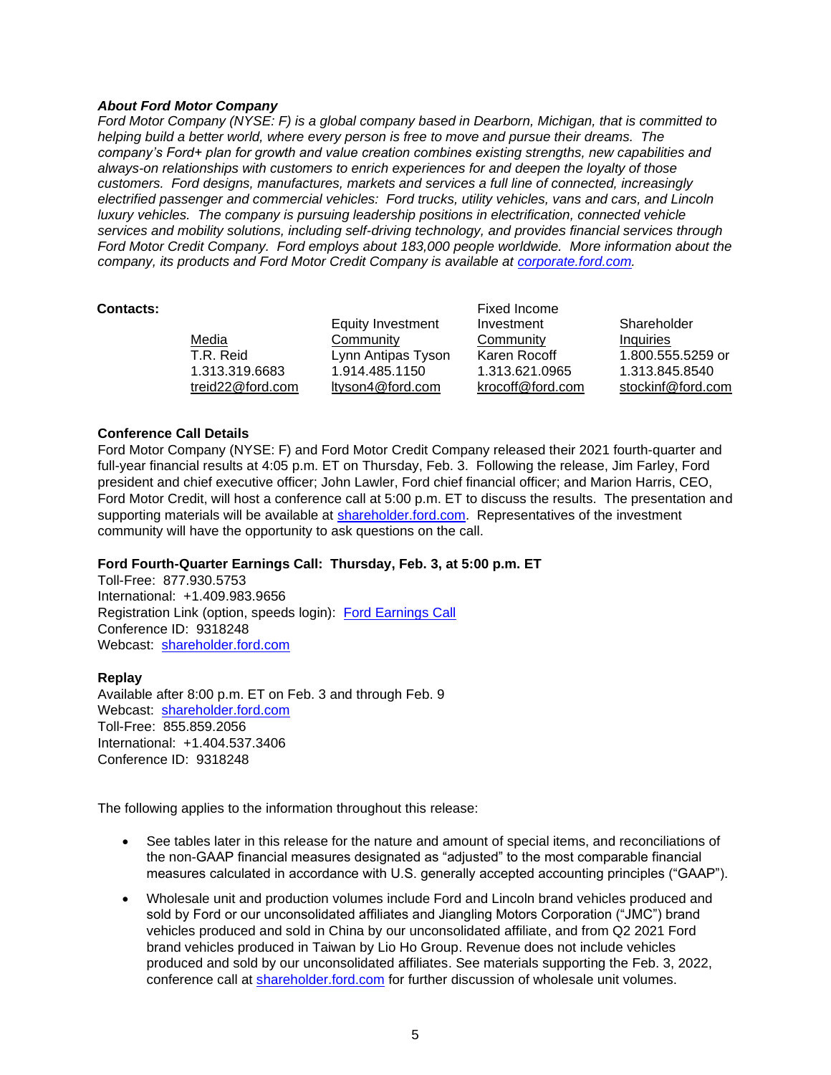### *About Ford Motor Company*

*Ford Motor Company (NYSE: F) is a global company based in Dearborn, Michigan, that is committed to helping build a better world, where every person is free to move and pursue their dreams. The company's Ford+ plan for growth and value creation combines existing strengths, new capabilities and always-on relationships with customers to enrich experiences for and deepen the loyalty of those customers. Ford designs, manufactures, markets and services a full line of connected, increasingly electrified passenger and commercial vehicles: Ford trucks, utility vehicles, vans and cars, and Lincoln luxury vehicles. The company is pursuing leadership positions in electrification, connected vehicle services and mobility solutions, including self-driving technology, and provides financial services through Ford Motor Credit Company. Ford employs about 183,000 people worldwide. More information about the company, its products and Ford Motor Credit Company is available at [corporate.ford.com.](https://corporate.ford.com/)*

| <b>Contacts:</b> |                  |                    | Fixed Income     |                   |
|------------------|------------------|--------------------|------------------|-------------------|
|                  |                  | Equity Investment  | Investment       | Shareholder       |
|                  | Media            | Community          | Community        | Inquiries         |
|                  | T.R. Reid        | Lynn Antipas Tyson | Karen Rocoff     | 1.800.555.5259 or |
|                  | 1.313.319.6683   | 1.914.485.1150     | 1.313.621.0965   | 1.313.845.8540    |
|                  | treid22@ford.com | ltyson4@ford.com   | krocoff@ford.com | stockinf@ford.com |

### **Conference Call Details**

Ford Motor Company (NYSE: F) and Ford Motor Credit Company released their 2021 fourth-quarter and full-year financial results at 4:05 p.m. ET on Thursday, Feb. 3. Following the release, Jim Farley, Ford president and chief executive officer; John Lawler, Ford chief financial officer; and Marion Harris, CEO, Ford Motor Credit, will host a conference call at 5:00 p.m. ET to discuss the results. The presentation and supporting materials will be available at [shareholder.ford.com.](http://www.shareholder.ford.com/) Representatives of the investment community will have the opportunity to ask questions on the call.

## **Ford Fourth-Quarter Earnings Call: Thursday, Feb. 3, at 5:00 p.m. ET**

Toll-Free: 877.930.5753 International: +1.409.983.9656 Registration Link (option, speeds login): [Ford Earnings](https://www.directeventreg.com/der/validateConferenceId.action) Call Conference ID: 9318248 Webcast: [shareholder.ford.com](http://www.shareholder.ford.com/)

#### **Replay**

Available after 8:00 p.m. ET on Feb. 3 and through Feb. 9 Webcast: [shareholder.ford.com](https://shareholder.ford.com/investors/overview/default.aspx) Toll-Free: 855.859.2056 International: +1.404.537.3406 Conference ID: 9318248

The following applies to the information throughout this release:

- See tables later in this release for the nature and amount of special items, and reconciliations of the non-GAAP financial measures designated as "adjusted" to the most comparable financial measures calculated in accordance with U.S. generally accepted accounting principles ("GAAP").
- Wholesale unit and production volumes include Ford and Lincoln brand vehicles produced and sold by Ford or our unconsolidated affiliates and Jiangling Motors Corporation ("JMC") brand vehicles produced and sold in China by our unconsolidated affiliate, and from Q2 2021 Ford brand vehicles produced in Taiwan by Lio Ho Group. Revenue does not include vehicles produced and sold by our unconsolidated affiliates. See materials supporting the Feb. 3, 2022, conference call at [shareholder.ford.com](https://shareholder.ford.com/investors/overview/default.aspx) for further discussion of wholesale unit volumes.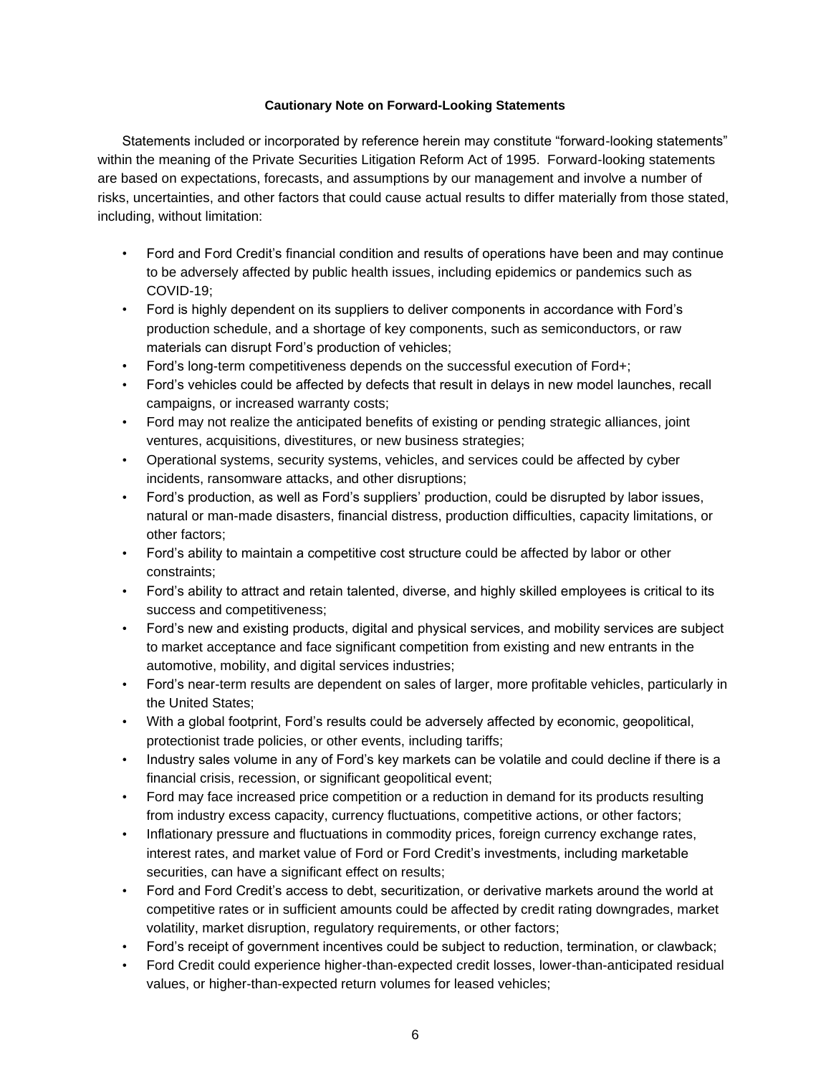#### **Cautionary Note on Forward-Looking Statements**

Statements included or incorporated by reference herein may constitute "forward-looking statements" within the meaning of the Private Securities Litigation Reform Act of 1995. Forward-looking statements are based on expectations, forecasts, and assumptions by our management and involve a number of risks, uncertainties, and other factors that could cause actual results to differ materially from those stated, including, without limitation:

- Ford and Ford Credit's financial condition and results of operations have been and may continue to be adversely affected by public health issues, including epidemics or pandemics such as COVID-19;
- Ford is highly dependent on its suppliers to deliver components in accordance with Ford's production schedule, and a shortage of key components, such as semiconductors, or raw materials can disrupt Ford's production of vehicles;
- Ford's long-term competitiveness depends on the successful execution of Ford+;
- Ford's vehicles could be affected by defects that result in delays in new model launches, recall campaigns, or increased warranty costs;
- Ford may not realize the anticipated benefits of existing or pending strategic alliances, joint ventures, acquisitions, divestitures, or new business strategies;
- Operational systems, security systems, vehicles, and services could be affected by cyber incidents, ransomware attacks, and other disruptions;
- Ford's production, as well as Ford's suppliers' production, could be disrupted by labor issues, natural or man-made disasters, financial distress, production difficulties, capacity limitations, or other factors;
- Ford's ability to maintain a competitive cost structure could be affected by labor or other constraints;
- Ford's ability to attract and retain talented, diverse, and highly skilled employees is critical to its success and competitiveness;
- Ford's new and existing products, digital and physical services, and mobility services are subject to market acceptance and face significant competition from existing and new entrants in the automotive, mobility, and digital services industries;
- Ford's near-term results are dependent on sales of larger, more profitable vehicles, particularly in the United States;
- With a global footprint, Ford's results could be adversely affected by economic, geopolitical, protectionist trade policies, or other events, including tariffs;
- Industry sales volume in any of Ford's key markets can be volatile and could decline if there is a financial crisis, recession, or significant geopolitical event;
- Ford may face increased price competition or a reduction in demand for its products resulting from industry excess capacity, currency fluctuations, competitive actions, or other factors;
- Inflationary pressure and fluctuations in commodity prices, foreign currency exchange rates, interest rates, and market value of Ford or Ford Credit's investments, including marketable securities, can have a significant effect on results;
- Ford and Ford Credit's access to debt, securitization, or derivative markets around the world at competitive rates or in sufficient amounts could be affected by credit rating downgrades, market volatility, market disruption, regulatory requirements, or other factors;
- Ford's receipt of government incentives could be subject to reduction, termination, or clawback;
- Ford Credit could experience higher-than-expected credit losses, lower-than-anticipated residual values, or higher-than-expected return volumes for leased vehicles;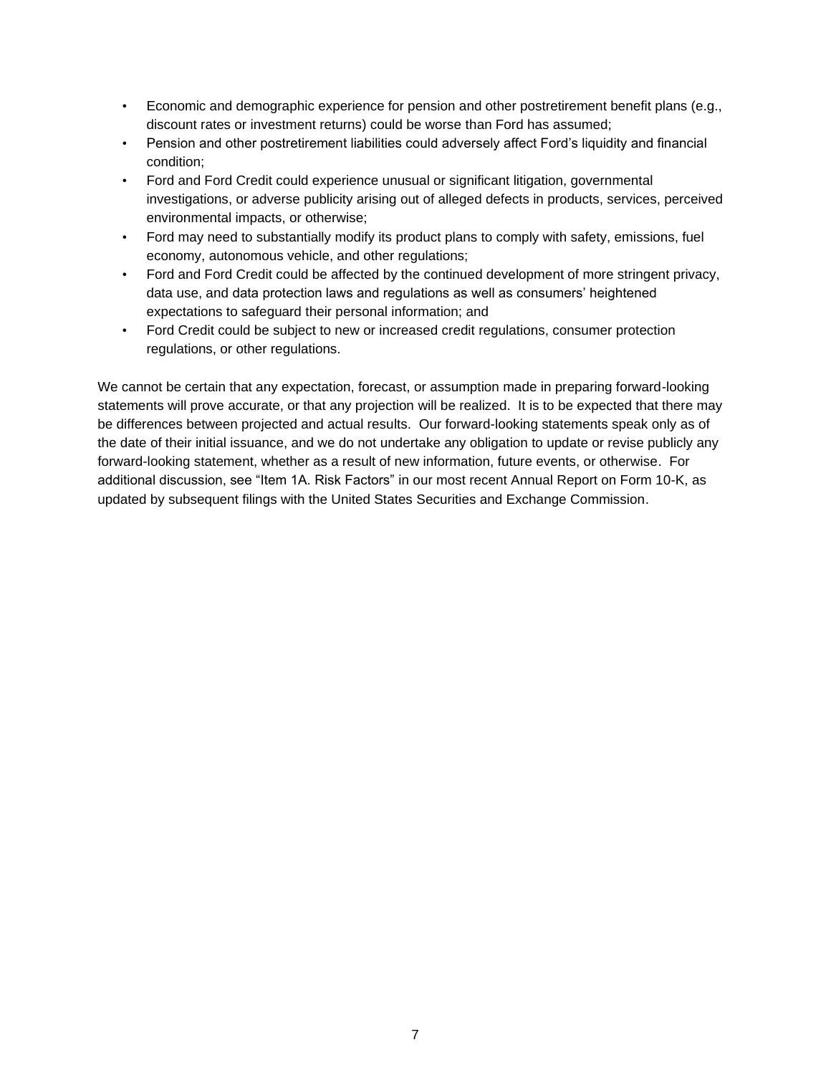- Economic and demographic experience for pension and other postretirement benefit plans (e.g., discount rates or investment returns) could be worse than Ford has assumed;
- Pension and other postretirement liabilities could adversely affect Ford's liquidity and financial condition;
- Ford and Ford Credit could experience unusual or significant litigation, governmental investigations, or adverse publicity arising out of alleged defects in products, services, perceived environmental impacts, or otherwise;
- Ford may need to substantially modify its product plans to comply with safety, emissions, fuel economy, autonomous vehicle, and other regulations;
- Ford and Ford Credit could be affected by the continued development of more stringent privacy, data use, and data protection laws and regulations as well as consumers' heightened expectations to safeguard their personal information; and
- Ford Credit could be subject to new or increased credit regulations, consumer protection regulations, or other regulations.

We cannot be certain that any expectation, forecast, or assumption made in preparing forward-looking statements will prove accurate, or that any projection will be realized. It is to be expected that there may be differences between projected and actual results. Our forward-looking statements speak only as of the date of their initial issuance, and we do not undertake any obligation to update or revise publicly any forward-looking statement, whether as a result of new information, future events, or otherwise. For additional discussion, see "Item 1A. Risk Factors" in our most recent Annual Report on Form 10-K, as updated by subsequent filings with the United States Securities and Exchange Commission.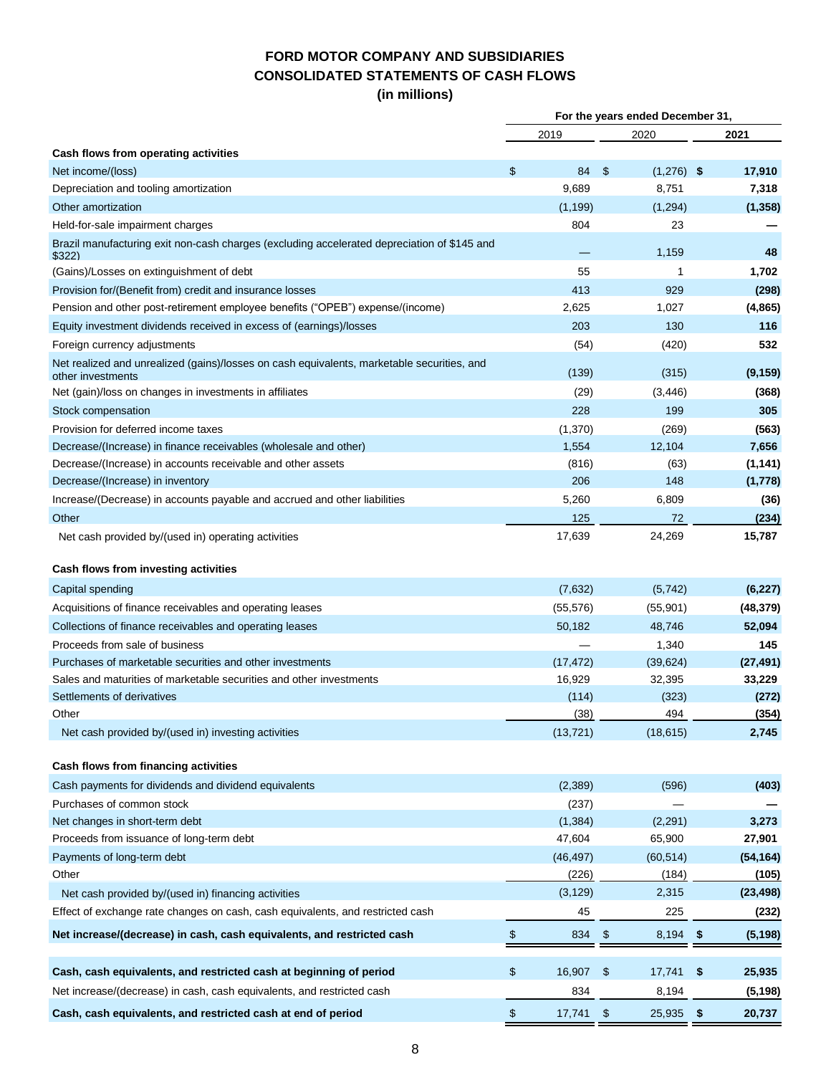## **FORD MOTOR COMPANY AND SUBSIDIARIES CONSOLIDATED STATEMENTS OF CASH FLOWS (in millions)**

|                                                                                                                 |      |           | For the years ended December 31, |              |      |           |  |  |
|-----------------------------------------------------------------------------------------------------------------|------|-----------|----------------------------------|--------------|------|-----------|--|--|
|                                                                                                                 |      | 2019      |                                  | 2020         |      | 2021      |  |  |
| Cash flows from operating activities                                                                            |      |           |                                  |              |      |           |  |  |
| Net income/(loss)                                                                                               | \$   | 84        | \$                               | $(1,276)$ \$ |      | 17,910    |  |  |
| Depreciation and tooling amortization                                                                           |      | 9,689     |                                  | 8,751        |      | 7,318     |  |  |
| Other amortization                                                                                              |      | (1, 199)  |                                  | (1,294)      |      | (1, 358)  |  |  |
| Held-for-sale impairment charges                                                                                |      | 804       |                                  | 23           |      |           |  |  |
| Brazil manufacturing exit non-cash charges (excluding accelerated depreciation of \$145 and<br>\$322)           |      |           |                                  | 1,159        |      | 48        |  |  |
| (Gains)/Losses on extinguishment of debt                                                                        |      | 55        |                                  | 1            |      | 1,702     |  |  |
| Provision for/(Benefit from) credit and insurance losses                                                        |      | 413       |                                  | 929          |      | (298)     |  |  |
| Pension and other post-retirement employee benefits ("OPEB") expense/(income)                                   |      | 2,625     |                                  | 1,027        |      | (4, 865)  |  |  |
| Equity investment dividends received in excess of (earnings)/losses                                             |      | 203       |                                  | 130          |      | 116       |  |  |
| Foreign currency adjustments                                                                                    |      | (54)      |                                  | (420)        |      | 532       |  |  |
| Net realized and unrealized (gains)/losses on cash equivalents, marketable securities, and<br>other investments |      | (139)     |                                  | (315)        |      | (9, 159)  |  |  |
| Net (gain)/loss on changes in investments in affiliates                                                         |      | (29)      |                                  | (3, 446)     |      | (368)     |  |  |
| Stock compensation                                                                                              |      | 228       |                                  | 199          |      | 305       |  |  |
| Provision for deferred income taxes                                                                             |      | (1,370)   |                                  | (269)        |      | (563)     |  |  |
| Decrease/(Increase) in finance receivables (wholesale and other)                                                |      | 1,554     |                                  | 12,104       |      | 7,656     |  |  |
| Decrease/(Increase) in accounts receivable and other assets                                                     |      | (816)     |                                  | (63)         |      | (1, 141)  |  |  |
| Decrease/(Increase) in inventory                                                                                |      | 206       |                                  | 148          |      | (1,778)   |  |  |
| Increase/(Decrease) in accounts payable and accrued and other liabilities                                       |      | 5,260     |                                  | 6,809        |      | (36)      |  |  |
| Other                                                                                                           |      | 125       |                                  | 72           |      | (234)     |  |  |
| Net cash provided by/(used in) operating activities                                                             |      | 17,639    |                                  | 24,269       |      | 15,787    |  |  |
| Cash flows from investing activities                                                                            |      |           |                                  |              |      |           |  |  |
| Capital spending                                                                                                |      | (7,632)   |                                  | (5, 742)     |      | (6, 227)  |  |  |
| Acquisitions of finance receivables and operating leases                                                        |      | (55, 576) |                                  | (55, 901)    |      | (48, 379) |  |  |
| Collections of finance receivables and operating leases                                                         |      | 50,182    |                                  | 48,746       |      | 52,094    |  |  |
| Proceeds from sale of business                                                                                  |      |           |                                  | 1,340        |      | 145       |  |  |
| Purchases of marketable securities and other investments                                                        |      | (17, 472) |                                  | (39, 624)    |      | (27, 491) |  |  |
| Sales and maturities of marketable securities and other investments                                             |      | 16,929    |                                  | 32,395       |      | 33,229    |  |  |
| Settlements of derivatives                                                                                      |      | (114)     |                                  | (323)        |      | (272)     |  |  |
| Other                                                                                                           |      | (38)      |                                  | 494          |      | (354)     |  |  |
| Net cash provided by/(used in) investing activities                                                             |      | (13, 721) |                                  | (18, 615)    |      | 2,745     |  |  |
| Cash flows from financing activities                                                                            |      |           |                                  |              |      |           |  |  |
| Cash payments for dividends and dividend equivalents                                                            |      | (2, 389)  |                                  | (596)        |      | (403)     |  |  |
| Purchases of common stock                                                                                       |      | (237)     |                                  |              |      |           |  |  |
| Net changes in short-term debt                                                                                  |      | (1, 384)  |                                  | (2, 291)     |      | 3,273     |  |  |
| Proceeds from issuance of long-term debt                                                                        |      | 47,604    |                                  | 65,900       |      | 27,901    |  |  |
| Payments of long-term debt                                                                                      |      | (46, 497) |                                  | (60, 514)    |      | (54, 164) |  |  |
| Other                                                                                                           |      | (226)     |                                  | (184)        |      | (105)     |  |  |
| Net cash provided by/(used in) financing activities                                                             |      | (3, 129)  |                                  | 2,315        |      | (23, 498) |  |  |
| Effect of exchange rate changes on cash, cash equivalents, and restricted cash                                  |      | 45        |                                  | 225          |      | (232)     |  |  |
| Net increase/(decrease) in cash, cash equivalents, and restricted cash                                          | $\,$ | 834       | $\boldsymbol{\mathsf{S}}$        | 8,194 \$     |      | (5, 198)  |  |  |
| Cash, cash equivalents, and restricted cash at beginning of period                                              | \$   | 16,907    | \$                               | 17,741       | \$   | 25,935    |  |  |
| Net increase/(decrease) in cash, cash equivalents, and restricted cash                                          |      | 834       |                                  | 8,194        |      | (5, 198)  |  |  |
| Cash, cash equivalents, and restricted cash at end of period                                                    | \$   | 17,741    | $\boldsymbol{\mathsf{S}}$        | 25,935       | - \$ | 20,737    |  |  |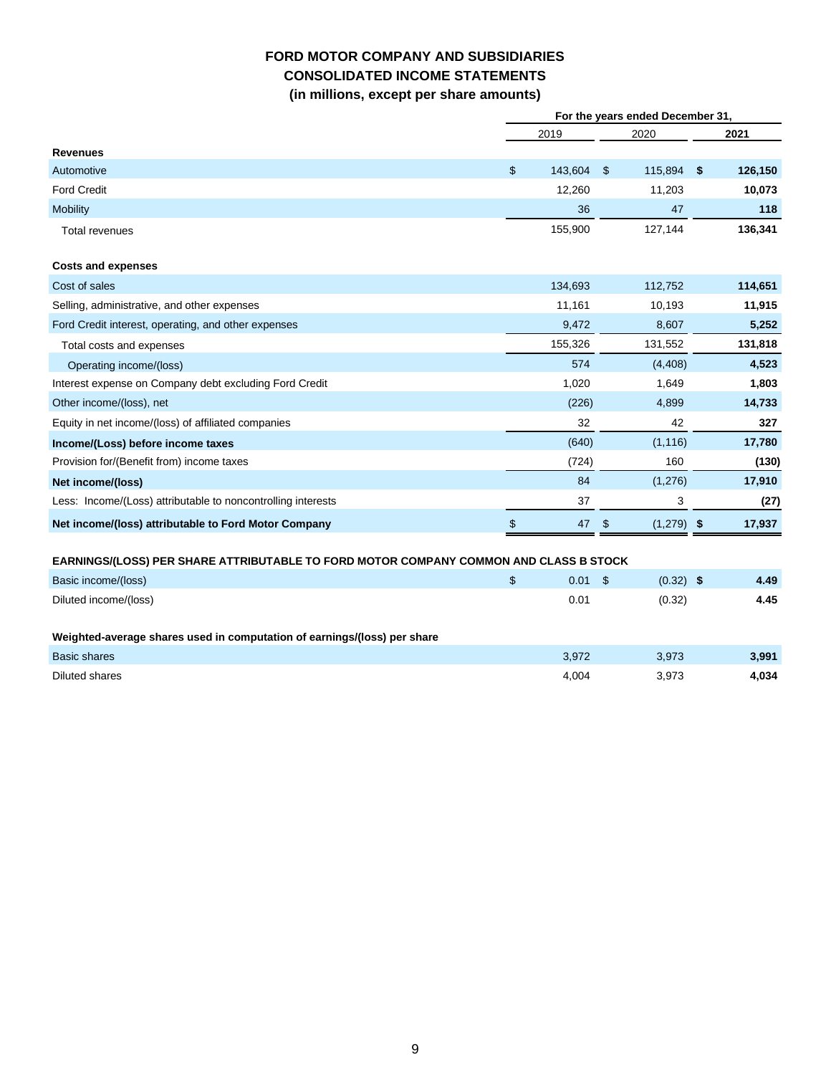## **FORD MOTOR COMPANY AND SUBSIDIARIES CONSOLIDATED INCOME STATEMENTS (in millions, except per share amounts)**

|                                                                                       |                | For the years ended December 31, |      |              |               |
|---------------------------------------------------------------------------------------|----------------|----------------------------------|------|--------------|---------------|
|                                                                                       |                | 2019                             |      | 2020         | 2021          |
| <b>Revenues</b>                                                                       |                |                                  |      |              |               |
| Automotive                                                                            | $\mathfrak{S}$ | 143,604                          | - \$ | 115,894      | \$<br>126,150 |
| <b>Ford Credit</b>                                                                    |                | 12,260                           |      | 11,203       | 10,073        |
| <b>Mobility</b>                                                                       |                | 36                               |      | 47           | 118           |
| <b>Total revenues</b>                                                                 |                | 155,900                          |      | 127,144      | 136,341       |
| <b>Costs and expenses</b>                                                             |                |                                  |      |              |               |
| Cost of sales                                                                         |                | 134,693                          |      | 112,752      | 114,651       |
| Selling, administrative, and other expenses                                           |                | 11,161                           |      | 10,193       | 11,915        |
| Ford Credit interest, operating, and other expenses                                   |                | 9,472                            |      | 8,607        | 5,252         |
| Total costs and expenses                                                              |                | 155,326                          |      | 131,552      | 131,818       |
| Operating income/(loss)                                                               |                | 574                              |      | (4, 408)     | 4,523         |
| Interest expense on Company debt excluding Ford Credit                                |                | 1,020                            |      | 1,649        | 1,803         |
| Other income/(loss), net                                                              |                | (226)                            |      | 4,899        | 14,733        |
| Equity in net income/(loss) of affiliated companies                                   |                | 32                               |      | 42           | 327           |
| Income/(Loss) before income taxes                                                     |                | (640)                            |      | (1, 116)     | 17,780        |
| Provision for/(Benefit from) income taxes                                             |                | (724)                            |      | 160          | (130)         |
| Net income/(loss)                                                                     |                | 84                               |      | (1,276)      | 17,910        |
| Less: Income/(Loss) attributable to noncontrolling interests                          |                | 37                               |      | 3            | (27)          |
| Net income/(loss) attributable to Ford Motor Company                                  | \$             | 47                               | -\$  | $(1,279)$ \$ | 17,937        |
| EARNINGS/(LOSS) PER SHARE ATTRIBUTABLE TO FORD MOTOR COMPANY COMMON AND CLASS B STOCK |                |                                  |      |              |               |
| Basic income/(loss)                                                                   | \$             | $0.01 \quad$ \$                  |      | $(0.32)$ \$  | 4.49          |
| Diluted income/(loss)                                                                 |                | 0.01                             |      | (0.32)       | 4.45          |
| Weighted-average shares used in computation of earnings/(loss) per share              |                |                                  |      |              |               |
| <b>Basic shares</b>                                                                   |                | 3,972                            |      | 3,973        | 3,991         |
| Diluted shares                                                                        |                | 4,004                            |      | 3,973        | 4,034         |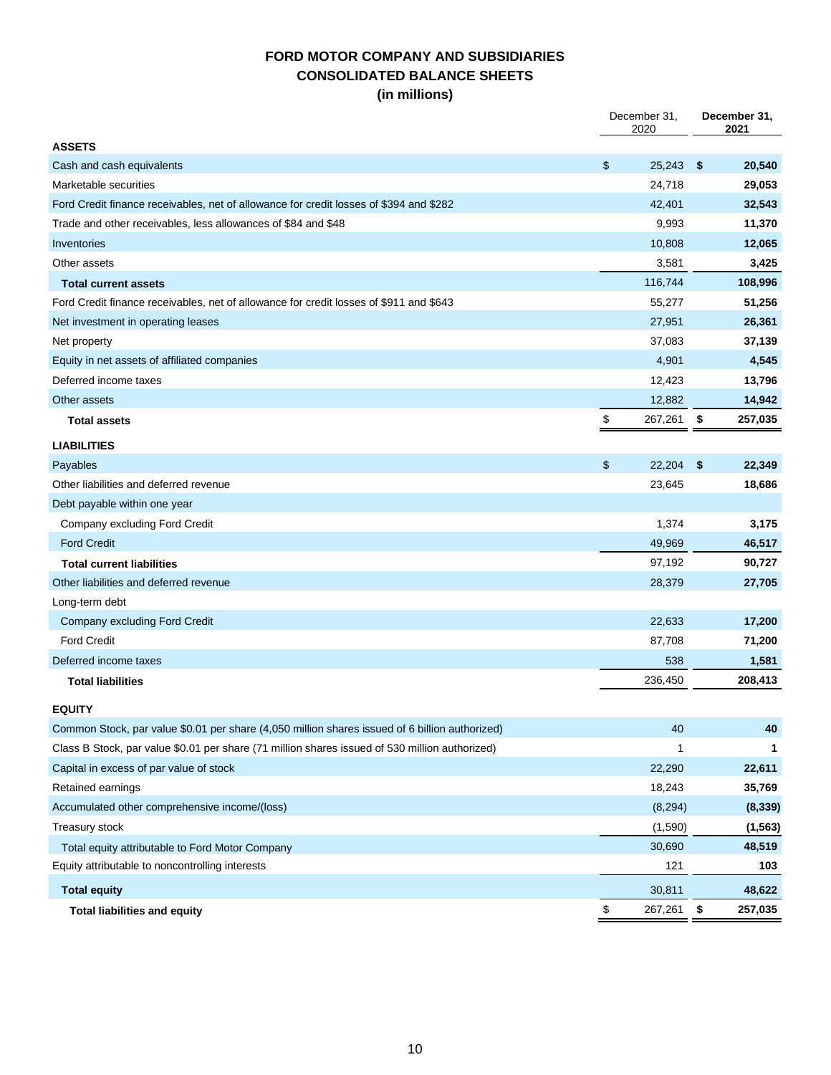## **FORD MOTOR COMPANY AND SUBSIDIARIES CONSOLIDATED BALANCE SHEETS (in millions)**

|                                                                                                | December 31,<br>2020 |          | December 31,<br>2021 |
|------------------------------------------------------------------------------------------------|----------------------|----------|----------------------|
| <b>ASSETS</b>                                                                                  |                      |          |                      |
| Cash and cash equivalents                                                                      | \$                   | 25,243   | \$<br>20,540         |
| Marketable securities                                                                          |                      | 24,718   | 29,053               |
| Ford Credit finance receivables, net of allowance for credit losses of \$394 and \$282         |                      | 42,401   | 32,543               |
| Trade and other receivables, less allowances of \$84 and \$48                                  |                      | 9,993    | 11,370               |
| Inventories                                                                                    |                      | 10,808   | 12,065               |
| Other assets                                                                                   |                      | 3,581    | 3,425                |
| <b>Total current assets</b>                                                                    |                      | 116,744  | 108,996              |
| Ford Credit finance receivables, net of allowance for credit losses of \$911 and \$643         |                      | 55,277   | 51,256               |
| Net investment in operating leases                                                             |                      | 27,951   | 26,361               |
| Net property                                                                                   |                      | 37,083   | 37,139               |
| Equity in net assets of affiliated companies                                                   |                      | 4,901    | 4,545                |
| Deferred income taxes                                                                          |                      | 12,423   | 13,796               |
| Other assets                                                                                   |                      | 12,882   | 14,942               |
| <b>Total assets</b>                                                                            | \$                   | 267,261  | \$<br>257,035        |
| <b>LIABILITIES</b>                                                                             |                      |          |                      |
| Payables                                                                                       | \$                   | 22,204   | \$<br>22,349         |
| Other liabilities and deferred revenue                                                         |                      | 23,645   | 18,686               |
| Debt payable within one year                                                                   |                      |          |                      |
| Company excluding Ford Credit                                                                  |                      | 1,374    | 3,175                |
| <b>Ford Credit</b>                                                                             |                      | 49,969   | 46,517               |
| <b>Total current liabilities</b>                                                               |                      | 97,192   | 90,727               |
| Other liabilities and deferred revenue                                                         |                      | 28,379   | 27,705               |
| Long-term debt                                                                                 |                      |          |                      |
| Company excluding Ford Credit                                                                  |                      | 22,633   | 17,200               |
| <b>Ford Credit</b>                                                                             |                      | 87,708   | 71,200               |
| Deferred income taxes                                                                          |                      | 538      | 1,581                |
| <b>Total liabilities</b>                                                                       |                      | 236,450  | 208,413              |
|                                                                                                |                      |          |                      |
| <b>EQUITY</b>                                                                                  |                      |          |                      |
| Common Stock, par value \$0.01 per share (4,050 million shares issued of 6 billion authorized) |                      | 40       | 40                   |
| Class B Stock, par value \$0.01 per share (71 million shares issued of 530 million authorized) |                      | 1        |                      |
| Capital in excess of par value of stock                                                        |                      | 22,290   | 22,611               |
| Retained earnings                                                                              |                      | 18,243   | 35,769               |
| Accumulated other comprehensive income/(loss)                                                  |                      | (8, 294) | (8, 339)             |
| Treasury stock                                                                                 |                      | (1,590)  | (1, 563)             |
| Total equity attributable to Ford Motor Company                                                |                      | 30,690   | 48,519               |
| Equity attributable to noncontrolling interests                                                |                      | 121      | 103                  |
| <b>Total equity</b>                                                                            |                      | 30,811   | 48,622               |
| <b>Total liabilities and equity</b>                                                            | \$                   | 267,261  | \$<br>257,035        |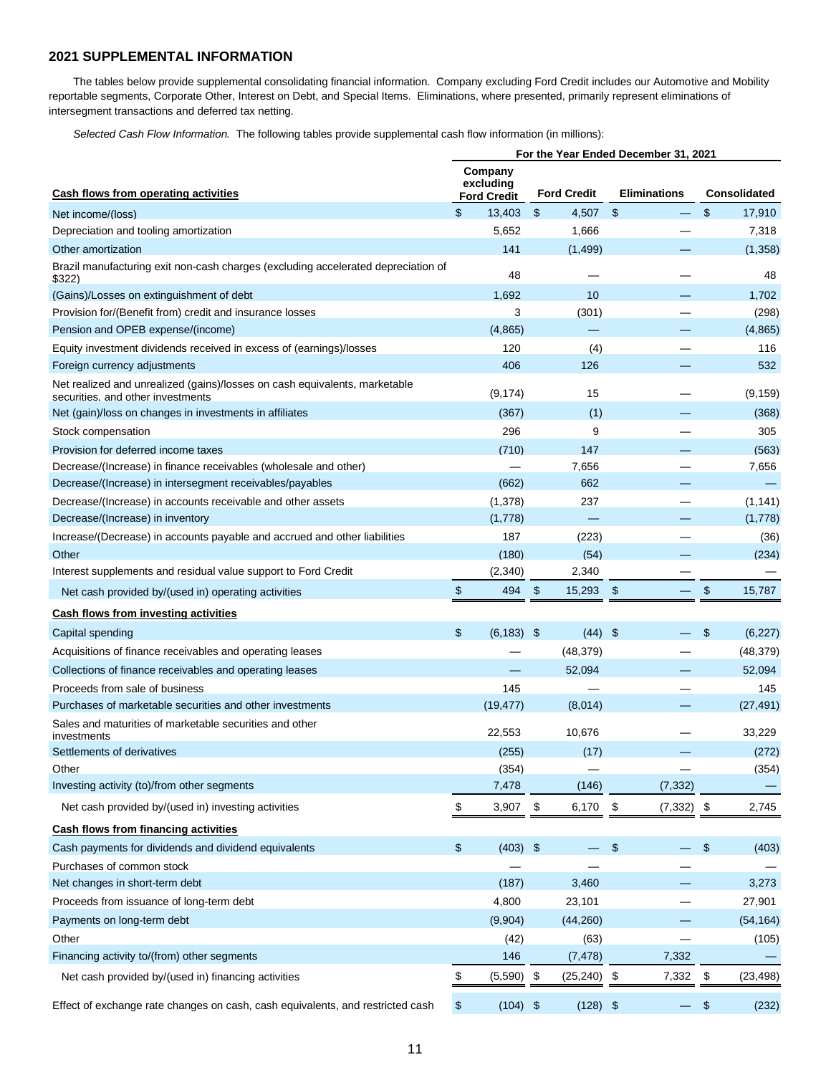#### **2021 SUPPLEMENTAL INFORMATION**

The tables below provide supplemental consolidating financial information. Company excluding Ford Credit includes our Automotive and Mobility reportable segments, Corporate Other, Interest on Debt, and Special Items. Eliminations, where presented, primarily represent eliminations of intersegment transactions and deferred tax netting.

*Selected Cash Flow Information.* The following tables provide supplemental cash flow information (in millions):

|                                                                                                                 |                |                                            |                                |                | For the Year Ended December 31, 2021 |                                           |                     |
|-----------------------------------------------------------------------------------------------------------------|----------------|--------------------------------------------|--------------------------------|----------------|--------------------------------------|-------------------------------------------|---------------------|
| Cash flows from operating activities                                                                            |                | Company<br>excluding<br><b>Ford Credit</b> | <b>Ford Credit</b>             |                | <b>Eliminations</b>                  |                                           | <b>Consolidated</b> |
| Net income/(loss)                                                                                               | \$             | 13,403                                     | \$<br>4,507                    | $\mathfrak{S}$ |                                      | $\mathfrak{L}$                            | 17,910              |
| Depreciation and tooling amortization                                                                           |                | 5,652                                      | 1,666                          |                |                                      |                                           | 7,318               |
| Other amortization                                                                                              |                | 141                                        | (1,499)                        |                |                                      |                                           | (1,358)             |
| Brazil manufacturing exit non-cash charges (excluding accelerated depreciation of<br>\$322)                     |                | 48                                         |                                |                |                                      |                                           | 48                  |
| (Gains)/Losses on extinguishment of debt                                                                        |                | 1,692                                      | 10                             |                |                                      |                                           | 1,702               |
| Provision for/(Benefit from) credit and insurance losses                                                        |                | 3                                          | (301)                          |                |                                      |                                           | (298)               |
| Pension and OPEB expense/(income)                                                                               |                | (4,865)                                    |                                |                |                                      |                                           | (4,865)             |
| Equity investment dividends received in excess of (earnings)/losses                                             |                | 120                                        | (4)                            |                |                                      |                                           | 116                 |
| Foreign currency adjustments                                                                                    |                | 406                                        | 126                            |                |                                      |                                           | 532                 |
| Net realized and unrealized (gains)/losses on cash equivalents, marketable<br>securities, and other investments |                | (9, 174)                                   | 15                             |                |                                      |                                           | (9, 159)            |
| Net (gain)/loss on changes in investments in affiliates                                                         |                | (367)                                      | (1)                            |                |                                      |                                           | (368)               |
| Stock compensation                                                                                              |                | 296                                        | 9                              |                |                                      |                                           | 305                 |
| Provision for deferred income taxes                                                                             |                | (710)                                      | 147                            |                |                                      |                                           | (563)               |
| Decrease/(Increase) in finance receivables (wholesale and other)                                                |                |                                            | 7,656                          |                |                                      |                                           | 7,656               |
| Decrease/(Increase) in intersegment receivables/payables                                                        |                | (662)                                      | 662                            |                |                                      |                                           |                     |
| Decrease/(Increase) in accounts receivable and other assets                                                     |                | (1,378)                                    | 237                            |                |                                      |                                           | (1, 141)            |
| Decrease/(Increase) in inventory                                                                                |                | (1,778)                                    |                                |                |                                      |                                           | (1,778)             |
| Increase/(Decrease) in accounts payable and accrued and other liabilities                                       |                | 187                                        | (223)                          |                |                                      |                                           | (36)                |
| Other                                                                                                           |                | (180)                                      | (54)                           |                |                                      |                                           | (234)               |
| Interest supplements and residual value support to Ford Credit                                                  |                | (2, 340)                                   | 2,340                          |                |                                      |                                           |                     |
| Net cash provided by/(used in) operating activities                                                             | \$             | 494                                        | $\sqrt[6]{3}$<br>15,293        | -\$            |                                      | \$                                        | 15,787              |
| <b>Cash flows from investing activities</b>                                                                     |                |                                            |                                |                |                                      |                                           |                     |
| Capital spending                                                                                                | $\mathfrak{s}$ | $(6, 183)$ \$                              |                                | $(44)$ \$      |                                      | \$                                        | (6, 227)            |
| Acquisitions of finance receivables and operating leases                                                        |                |                                            | (48, 379)                      |                |                                      |                                           | (48, 379)           |
| Collections of finance receivables and operating leases                                                         |                |                                            | 52,094                         |                |                                      |                                           | 52,094              |
| Proceeds from sale of business                                                                                  |                | 145                                        |                                |                |                                      |                                           | 145                 |
| Purchases of marketable securities and other investments                                                        |                | (19, 477)                                  | (8,014)                        |                |                                      |                                           | (27, 491)           |
| Sales and maturities of marketable securities and other<br>investments                                          |                | 22,553                                     | 10,676                         |                |                                      |                                           | 33,229              |
| Settlements of derivatives                                                                                      |                | (255)                                      | (17)                           |                |                                      |                                           | (272)               |
| Other                                                                                                           |                | (354)                                      |                                |                |                                      |                                           | (354)               |
| Investing activity (to)/from other segments                                                                     |                | 7,478                                      | (146)                          |                | (7, 332)                             |                                           |                     |
| Net cash provided by/(used in) investing activities                                                             | \$             | 3,907                                      | \$<br>6,170                    | $\sqrt{3}$     | $(7,332)$ \$                         |                                           | 2,745               |
| <b>Cash flows from financing activities</b>                                                                     |                |                                            |                                |                |                                      |                                           |                     |
| Cash payments for dividends and dividend equivalents                                                            | \$             | $(403)$ \$                                 |                                | $\frac{3}{2}$  |                                      | $\, \, \raisebox{12pt}{$\scriptstyle \$}$ | (403)               |
| Purchases of common stock                                                                                       |                |                                            |                                |                |                                      |                                           |                     |
| Net changes in short-term debt                                                                                  |                | (187)                                      | 3,460                          |                |                                      |                                           | 3,273               |
| Proceeds from issuance of long-term debt                                                                        |                | 4,800                                      | 23,101                         |                |                                      |                                           | 27,901              |
| Payments on long-term debt                                                                                      |                | (9,904)                                    | (44, 260)                      |                |                                      |                                           | (54, 164)           |
| Other                                                                                                           |                | (42)                                       | (63)                           |                |                                      |                                           | (105)               |
| Financing activity to/(from) other segments                                                                     |                | 146                                        | (7, 478)                       |                | 7,332                                |                                           |                     |
| Net cash provided by/(used in) financing activities                                                             | \$             | (5,590)                                    | \$<br>$(25, 240)$ \$<br>(4.00) |                | 7,332                                | \$                                        | (23, 498)<br>(0.00) |

Effect of exchange rate changes on cash, cash equivalents, and restricted cash \$ (104) \$ (128) \$ - \$ (232)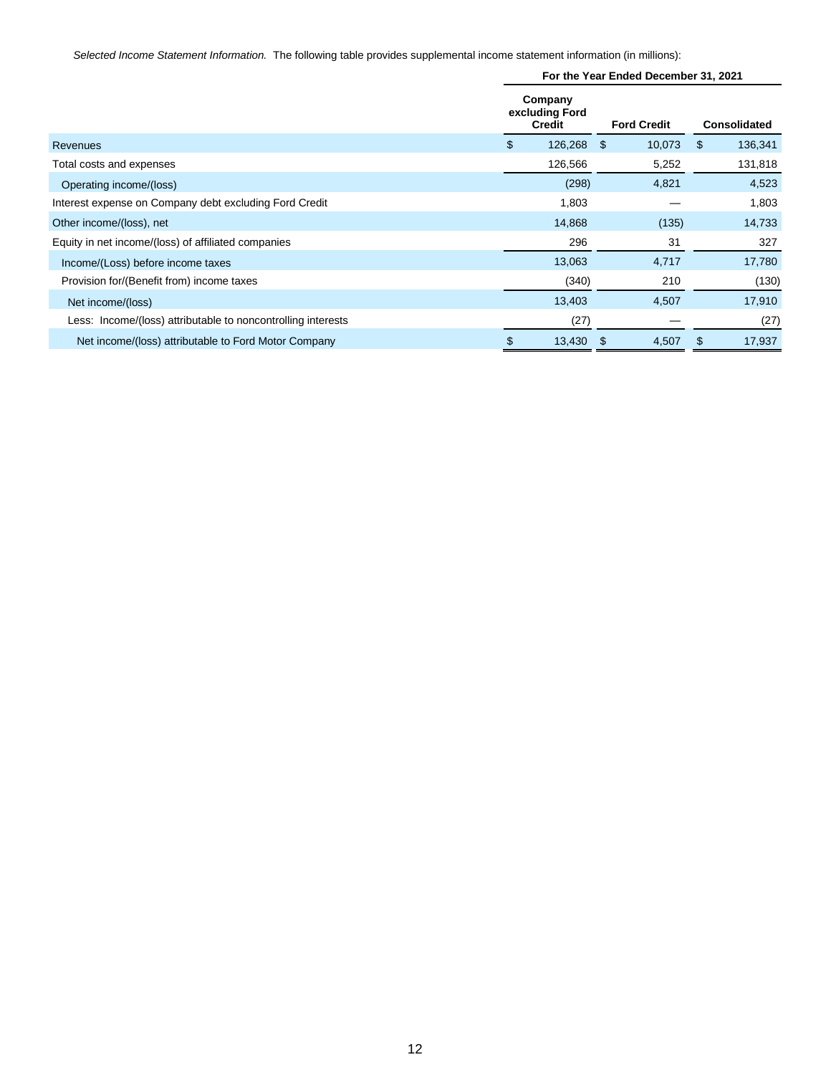*Selected Income Statement Information.* The following table provides supplemental income statement information (in millions):

|                                                              |    | For the Year Ended December 31, 2021       |                |    |                     |         |  |  |  |
|--------------------------------------------------------------|----|--------------------------------------------|----------------|----|---------------------|---------|--|--|--|
|                                                              |    | Company<br>excluding Ford<br><b>Credit</b> |                |    | <b>Consolidated</b> |         |  |  |  |
| Revenues                                                     | \$ | 126,268                                    | 10,073<br>- \$ |    | \$                  | 136,341 |  |  |  |
| Total costs and expenses                                     |    | 126,566                                    | 5,252          |    |                     | 131,818 |  |  |  |
| Operating income/(loss)                                      |    | (298)                                      | 4,821          |    |                     | 4,523   |  |  |  |
| Interest expense on Company debt excluding Ford Credit       |    | 1,803                                      |                |    |                     | 1,803   |  |  |  |
| Other income/(loss), net                                     |    | 14,868                                     | (135)          |    |                     | 14,733  |  |  |  |
| Equity in net income/(loss) of affiliated companies          |    | 296                                        |                | 31 |                     | 327     |  |  |  |
| Income/(Loss) before income taxes                            |    | 13,063                                     | 4,717          |    |                     | 17,780  |  |  |  |
| Provision for/(Benefit from) income taxes                    |    | (340)                                      | 210            |    |                     | (130)   |  |  |  |
| Net income/(loss)                                            |    | 13,403                                     | 4,507          |    |                     | 17,910  |  |  |  |
| Less: Income/(loss) attributable to noncontrolling interests |    | (27)                                       |                |    |                     | (27)    |  |  |  |
| Net income/(loss) attributable to Ford Motor Company         | S  | 13,430                                     | -\$<br>4,507   |    | \$                  | 17,937  |  |  |  |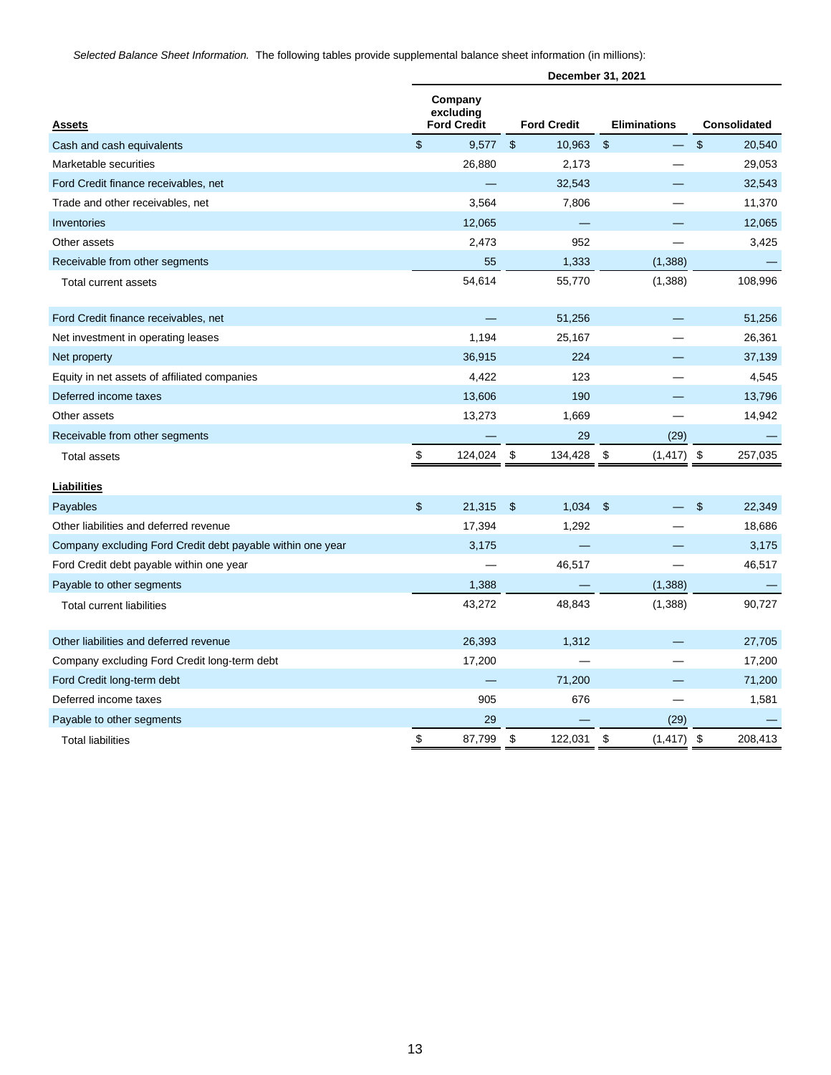*Selected Balance Sheet Information.* The following tables provide supplemental balance sheet information (in millions):

|                                                            | December 31, 2021 |                                            |                |                    |                             |                     |                           |         |
|------------------------------------------------------------|-------------------|--------------------------------------------|----------------|--------------------|-----------------------------|---------------------|---------------------------|---------|
| <b>Assets</b>                                              |                   | Company<br>excluding<br><b>Ford Credit</b> |                | <b>Ford Credit</b> |                             | <b>Eliminations</b> | <b>Consolidated</b>       |         |
| Cash and cash equivalents                                  | $\mathfrak{S}$    | 9.577                                      | $\mathfrak{L}$ | 10,963             | $\boldsymbol{\hat{\theta}}$ |                     | $\boldsymbol{\mathsf{S}}$ | 20,540  |
| Marketable securities                                      |                   | 26,880                                     |                | 2,173              |                             |                     |                           | 29,053  |
| Ford Credit finance receivables, net                       |                   |                                            |                | 32,543             |                             |                     |                           | 32,543  |
| Trade and other receivables, net                           |                   | 3,564                                      |                | 7,806              |                             |                     |                           | 11,370  |
| Inventories                                                |                   | 12,065                                     |                |                    |                             |                     |                           | 12,065  |
| Other assets                                               |                   | 2,473                                      |                | 952                |                             |                     |                           | 3,425   |
| Receivable from other segments                             |                   | 55                                         |                | 1,333              |                             | (1, 388)            |                           |         |
| Total current assets                                       |                   | 54,614                                     |                | 55,770             |                             | (1,388)             |                           | 108,996 |
| Ford Credit finance receivables, net                       |                   |                                            |                | 51,256             |                             |                     |                           | 51,256  |
| Net investment in operating leases                         |                   | 1,194                                      |                | 25,167             |                             |                     |                           | 26,361  |
| Net property                                               |                   | 36.915                                     |                | 224                |                             |                     |                           | 37,139  |
| Equity in net assets of affiliated companies               |                   | 4,422                                      |                | 123                |                             |                     |                           | 4,545   |
| Deferred income taxes                                      |                   | 13,606                                     |                | 190                |                             |                     |                           | 13,796  |
| Other assets                                               |                   | 13,273                                     |                | 1,669              |                             |                     |                           | 14,942  |
| Receivable from other segments                             |                   |                                            |                | 29                 |                             | (29)                |                           |         |
| <b>Total assets</b>                                        | $\$\,$            | 124,024                                    | \$             | 134,428            | \$                          | (1, 417)            | \$                        | 257,035 |
| <b>Liabilities</b>                                         |                   |                                            |                |                    |                             |                     |                           |         |
| Payables                                                   | \$                | 21,315                                     | $\frac{3}{2}$  | 1,034              | $\mathfrak{F}$              |                     | $\mathfrak{s}$            | 22,349  |
| Other liabilities and deferred revenue                     |                   | 17,394                                     |                | 1,292              |                             |                     |                           | 18,686  |
| Company excluding Ford Credit debt payable within one year |                   | 3,175                                      |                |                    |                             |                     |                           | 3,175   |
| Ford Credit debt payable within one year                   |                   |                                            |                | 46,517             |                             |                     |                           | 46,517  |
| Payable to other segments                                  |                   | 1,388                                      |                |                    |                             | (1, 388)            |                           |         |
| <b>Total current liabilities</b>                           |                   | 43,272                                     |                | 48,843             |                             | (1, 388)            |                           | 90,727  |
| Other liabilities and deferred revenue                     |                   | 26,393                                     |                | 1,312              |                             |                     |                           | 27,705  |
| Company excluding Ford Credit long-term debt               |                   | 17,200                                     |                |                    |                             |                     |                           | 17,200  |
| Ford Credit long-term debt                                 |                   |                                            |                | 71,200             |                             |                     |                           | 71,200  |
| Deferred income taxes                                      |                   | 905                                        |                | 676                |                             |                     |                           | 1,581   |
| Payable to other segments                                  |                   | 29                                         |                |                    |                             | (29)                |                           |         |
| <b>Total liabilities</b>                                   | \$                | 87,799                                     | \$             | 122,031            | \$                          | (1, 417)            | \$                        | 208,413 |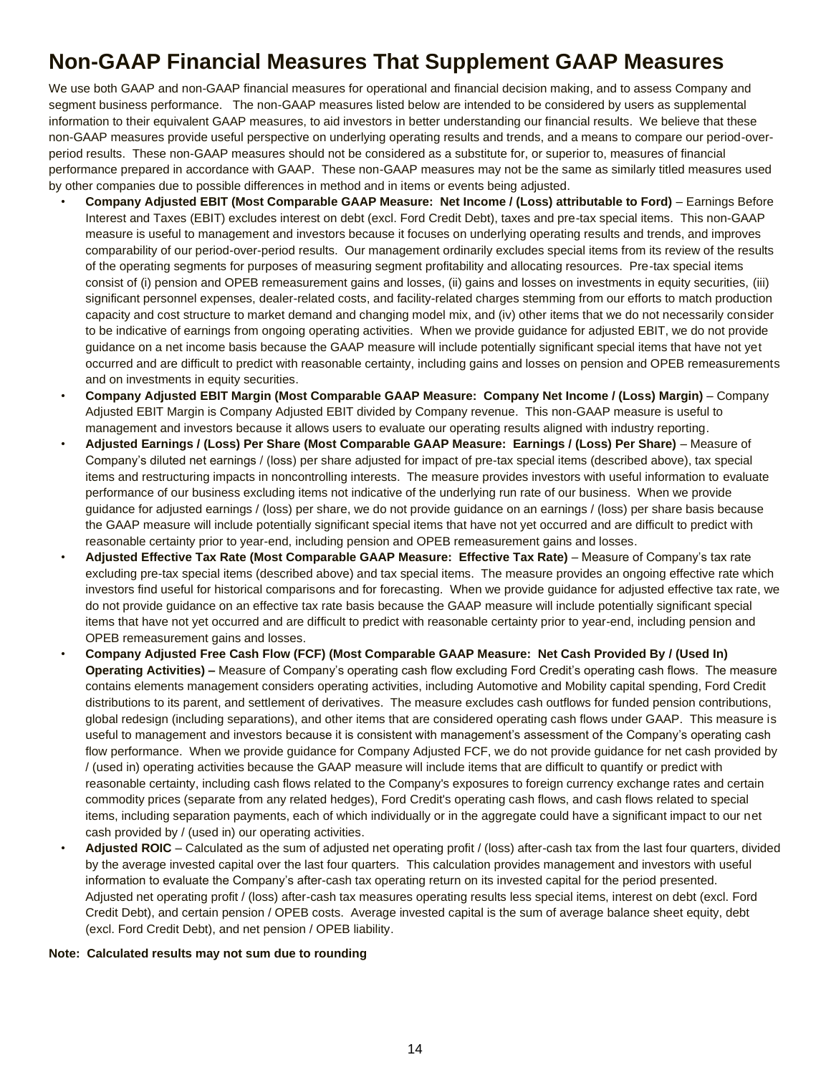# **Non-GAAP Financial Measures That Supplement GAAP Measures**

We use both GAAP and non-GAAP financial measures for operational and financial decision making, and to assess Company and segment business performance. The non-GAAP measures listed below are intended to be considered by users as supplemental information to their equivalent GAAP measures, to aid investors in better understanding our financial results. We believe that these non-GAAP measures provide useful perspective on underlying operating results and trends, and a means to compare our period-overperiod results. These non-GAAP measures should not be considered as a substitute for, or superior to, measures of financial performance prepared in accordance with GAAP. These non-GAAP measures may not be the same as similarly titled measures used by other companies due to possible differences in method and in items or events being adjusted.

- **Company Adjusted EBIT (Most Comparable GAAP Measure: Net Income / (Loss) attributable to Ford)** Earnings Before Interest and Taxes (EBIT) excludes interest on debt (excl. Ford Credit Debt), taxes and pre-tax special items. This non-GAAP measure is useful to management and investors because it focuses on underlying operating results and trends, and improves comparability of our period-over-period results. Our management ordinarily excludes special items from its review of the results of the operating segments for purposes of measuring segment profitability and allocating resources. Pre-tax special items consist of (i) pension and OPEB remeasurement gains and losses, (ii) gains and losses on investments in equity securities, (iii) significant personnel expenses, dealer-related costs, and facility-related charges stemming from our efforts to match production capacity and cost structure to market demand and changing model mix, and (iv) other items that we do not necessarily consider to be indicative of earnings from ongoing operating activities. When we provide guidance for adjusted EBIT, we do not provide guidance on a net income basis because the GAAP measure will include potentially significant special items that have not yet occurred and are difficult to predict with reasonable certainty, including gains and losses on pension and OPEB remeasurements and on investments in equity securities.
- **Company Adjusted EBIT Margin (Most Comparable GAAP Measure: Company Net Income / (Loss) Margin)**  Company Adjusted EBIT Margin is Company Adjusted EBIT divided by Company revenue. This non-GAAP measure is useful to management and investors because it allows users to evaluate our operating results aligned with industry reporting.
- **Adjusted Earnings / (Loss) Per Share (Most Comparable GAAP Measure: Earnings / (Loss) Per Share)** Measure of Company's diluted net earnings / (loss) per share adjusted for impact of pre-tax special items (described above), tax special items and restructuring impacts in noncontrolling interests. The measure provides investors with useful information to evaluate performance of our business excluding items not indicative of the underlying run rate of our business. When we provide guidance for adjusted earnings / (loss) per share, we do not provide guidance on an earnings / (loss) per share basis because the GAAP measure will include potentially significant special items that have not yet occurred and are difficult to predict with reasonable certainty prior to year-end, including pension and OPEB remeasurement gains and losses.
- **Adjusted Effective Tax Rate (Most Comparable GAAP Measure: Effective Tax Rate)**  Measure of Company's tax rate excluding pre-tax special items (described above) and tax special items. The measure provides an ongoing effective rate which investors find useful for historical comparisons and for forecasting. When we provide guidance for adjusted effective tax rate, we do not provide guidance on an effective tax rate basis because the GAAP measure will include potentially significant special items that have not yet occurred and are difficult to predict with reasonable certainty prior to year-end, including pension and OPEB remeasurement gains and losses.
- **Company Adjusted Free Cash Flow (FCF) (Most Comparable GAAP Measure: Net Cash Provided By / (Used In) Operating Activities) –** Measure of Company's operating cash flow excluding Ford Credit's operating cash flows. The measure contains elements management considers operating activities, including Automotive and Mobility capital spending, Ford Credit distributions to its parent, and settlement of derivatives. The measure excludes cash outflows for funded pension contributions, global redesign (including separations), and other items that are considered operating cash flows under GAAP. This measure is useful to management and investors because it is consistent with management's assessment of the Company's operating cash flow performance. When we provide guidance for Company Adjusted FCF, we do not provide guidance for net cash provided by / (used in) operating activities because the GAAP measure will include items that are difficult to quantify or predict with reasonable certainty, including cash flows related to the Company's exposures to foreign currency exchange rates and certain commodity prices (separate from any related hedges), Ford Credit's operating cash flows, and cash flows related to special items, including separation payments, each of which individually or in the aggregate could have a significant impact to our net cash provided by / (used in) our operating activities.
- **Adjusted ROIC**  Calculated as the sum of adjusted net operating profit / (loss) after-cash tax from the last four quarters, divided by the average invested capital over the last four quarters. This calculation provides management and investors with useful information to evaluate the Company's after-cash tax operating return on its invested capital for the period presented. Adjusted net operating profit / (loss) after-cash tax measures operating results less special items, interest on debt (excl. Ford Credit Debt), and certain pension / OPEB costs. Average invested capital is the sum of average balance sheet equity, debt (excl. Ford Credit Debt), and net pension / OPEB liability.

#### **Note: Calculated results may not sum due to rounding**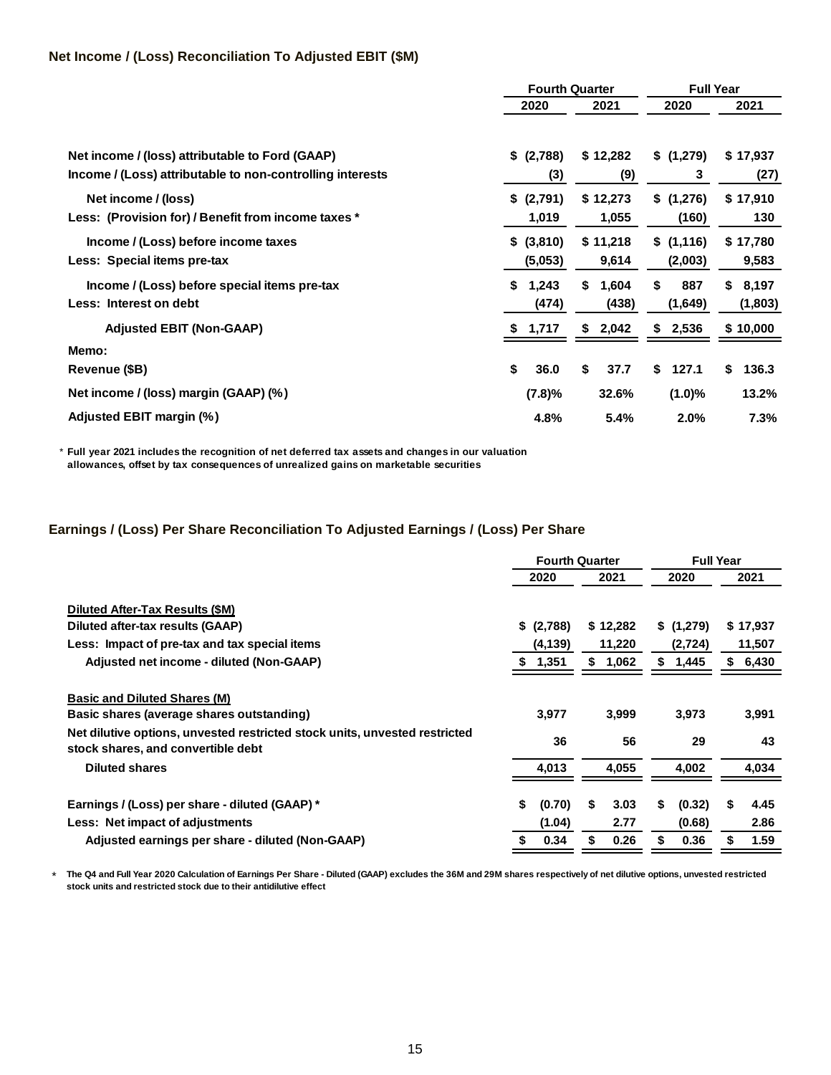## **Net Income / (Loss) Reconciliation To Adjusted EBIT (\$M)**

|                                                           | <b>Fourth Quarter</b> |             | <b>Full Year</b> |             |  |  |  |
|-----------------------------------------------------------|-----------------------|-------------|------------------|-------------|--|--|--|
|                                                           | 2020                  | 2021        | 2020             | 2021        |  |  |  |
|                                                           |                       |             |                  |             |  |  |  |
| Net income / (loss) attributable to Ford (GAAP)           | \$ (2,788)            | \$12,282    | \$(1,279)        | \$17,937    |  |  |  |
| Income / (Loss) attributable to non-controlling interests | (3)                   | (9)         | 3                | (27)        |  |  |  |
| Net income / (loss)                                       | \$ (2,791)            | \$12,273    | \$(1,276)        | \$17,910    |  |  |  |
| Less: (Provision for) / Benefit from income taxes *       | 1,019                 | 1,055       | (160)            | 130         |  |  |  |
| Income / (Loss) before income taxes                       | \$ (3,810)            | \$11,218    | \$(1,116)        | \$17,780    |  |  |  |
| Less: Special items pre-tax                               | (5,053)               | 9,614       | (2,003)          | 9,583       |  |  |  |
| Income / (Loss) before special items pre-tax              | 1,243<br>S.           | \$<br>1,604 | \$<br>887        | \$<br>8,197 |  |  |  |
| Less: Interest on debt                                    | (474)                 | (438)       | (1,649)          | (1,803)     |  |  |  |
| <b>Adjusted EBIT (Non-GAAP)</b>                           | 1,717                 | 2,042<br>\$ | 2,536<br>S       | \$10,000    |  |  |  |
| Memo:                                                     |                       |             |                  |             |  |  |  |
| <b>Revenue (\$B)</b>                                      | \$<br>36.0            | \$<br>37.7  | \$<br>127.1      | 136.3<br>S  |  |  |  |
| Net income / (loss) margin (GAAP) (%)                     | (7.8)%                | 32.6%       | (1.0)%           | 13.2%       |  |  |  |
| Adjusted EBIT margin (%)                                  | 4.8%                  | 5.4%        | 2.0%             | 7.3%        |  |  |  |

\* **Full year 2021 includes the recognition of net deferred tax assets and changes in our valuation allowances, offset by tax consequences of unrealized gains on marketable securities**

### **Earnings / (Loss) Per Share Reconciliation To Adjusted Earnings / (Loss) Per Share**

|                                                                                                                  | <b>Fourth Quarter</b>  |    |              |       |                  | <b>Full Year</b> |              |  |
|------------------------------------------------------------------------------------------------------------------|------------------------|----|--------------|-------|------------------|------------------|--------------|--|
|                                                                                                                  | 2020                   |    | 2021         |       | 2020             |                  | 2021         |  |
| Diluted After-Tax Results (\$M)<br>Diluted after-tax results (GAAP)                                              | \$ (2,788)             |    | \$12,282     |       | \$(1,279)        |                  | \$17,937     |  |
| Less: Impact of pre-tax and tax special items                                                                    | (4, 139)               |    | 11,220       |       | (2,724)          |                  | 11,507       |  |
| Adjusted net income - diluted (Non-GAAP)                                                                         | 1,351                  | S. | 1,062        |       | \$<br>1,445      |                  | 6,430        |  |
| <b>Basic and Diluted Shares (M)</b><br>Basic shares (average shares outstanding)                                 | 3,977                  |    | 3,999        |       | 3,973            |                  | 3,991        |  |
| Net dilutive options, unvested restricted stock units, unvested restricted<br>stock shares, and convertible debt | 36                     |    | 56           |       | 29               |                  | 43           |  |
| <b>Diluted shares</b>                                                                                            | 4,013                  |    | 4,055        | 4,002 |                  | 4,034            |              |  |
| Earnings / (Loss) per share - diluted (GAAP) *<br>Less: Net impact of adjustments                                | \$<br>(0.70)<br>(1.04) | S  | 3.03<br>2.77 | S.    | (0.32)<br>(0.68) | S                | 4.45<br>2.86 |  |
| Adjusted earnings per share - diluted (Non-GAAP)                                                                 | 0.34                   |    | 0.26         | S     | 0.36             |                  | 1.59         |  |

\* **The Q4 and Full Year 2020 Calculation of Earnings Per Share - Diluted (GAAP) excludes the 36M and 29M shares respectively of net dilutive options, unvested restricted stock units and restricted stock due to their antidilutive effect**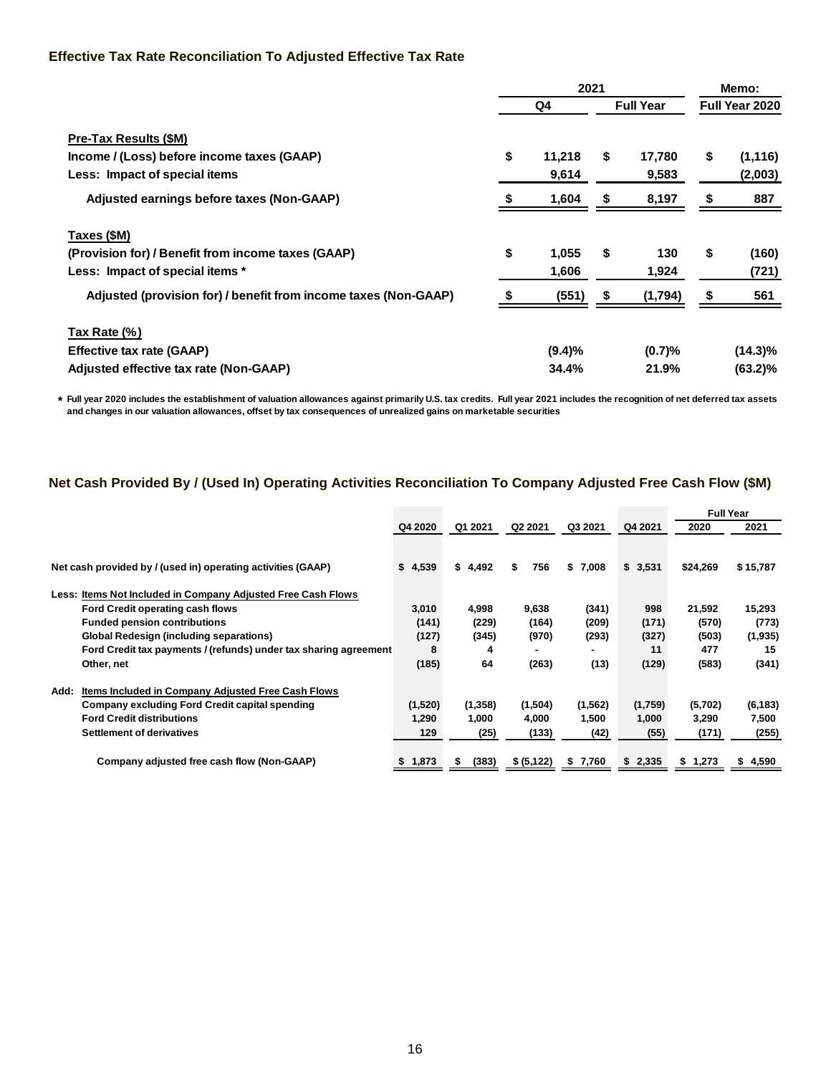### **Effective Tax Rate Reconciliation To Adjusted Effective Tax Rate**

|                                                                 | 2021 |           |    |                  |    | Memo:          |
|-----------------------------------------------------------------|------|-----------|----|------------------|----|----------------|
|                                                                 |      | Q4        |    | <b>Full Year</b> |    | Full Year 2020 |
| <b>Pre-Tax Results (\$M)</b>                                    |      |           |    |                  |    |                |
| Income / (Loss) before income taxes (GAAP)                      | \$   | 11,218    | \$ | 17,780           | S  | (1, 116)       |
| Less: Impact of special items                                   |      | 9,614     |    | 9,583            |    | (2,003)        |
| Adjusted earnings before taxes (Non-GAAP)                       |      | 1,604     | \$ | 8,197            |    | 887            |
| Taxes (\$M)                                                     |      |           |    |                  |    |                |
| (Provision for) / Benefit from income taxes (GAAP)              | \$   | 1,055     | \$ | 130              | \$ | (160)          |
| Less: Impact of special items *                                 |      | 1,606     |    | 1,924            |    | (721)          |
| Adjusted (provision for) / benefit from income taxes (Non-GAAP) |      | (551)     | \$ | (1,794)          | ъ  | 561            |
| Tax Rate (%)                                                    |      |           |    |                  |    |                |
| <b>Effective tax rate (GAAP)</b>                                |      | $(9.4)\%$ |    | (0.7)%           |    | $(14.3)\%$     |
| Adjusted effective tax rate (Non-GAAP)                          |      | 34.4%     |    | 21.9%            |    | (63.2)%        |

**\* Full year 2020 includes the establishment of valuation allowances against primarily U.S. tax credits. Full year 2021 includes the recognition of net deferred tax assets and changes in our valuation allowances, offset by tax consequences of unrealized gains on marketable securities**

## **Net Cash Provided By / (Used In) Operating Activities Reconciliation To Company Adjusted Free Cash Flow (\$M)**

|                                                                        |             |            |             |             |             |          | <b>Full Year</b> |
|------------------------------------------------------------------------|-------------|------------|-------------|-------------|-------------|----------|------------------|
|                                                                        | Q4 2020     | Q1 2021    | Q2 2021     | Q3 2021     | Q4 2021     | 2020     | 2021             |
| Net cash provided by / (used in) operating activities (GAAP)           | \$4,539     | \$4,492    | \$<br>756   | \$7,008     | \$3,531     | \$24,269 | \$15,787         |
|                                                                        |             |            |             |             |             |          |                  |
| <b>Items Not Included in Company Adjusted Free Cash Flows</b><br>Less: |             |            |             |             |             |          |                  |
| Ford Credit operating cash flows                                       | 3,010       | 4,998      | 9,638       | (341)       | 998         | 21,592   | 15,293           |
| <b>Funded pension contributions</b>                                    | (141)       | (229)      | (164)       | (209)       | (171)       | (570)    | (773)            |
| <b>Global Redesign (including separations)</b>                         | (127)       | (345)      | (970)       | (293)       | (327)       | (503)    | (1,935)          |
| Ford Credit tax payments / (refunds) under tax sharing agreement       | 8           | 4          |             | -           | 11          | 477      | 15               |
| Other, net                                                             | (185)       | 64         | (263)       | (13)        | (129)       | (583)    | (341)            |
| <b>Items Included in Company Adiusted Free Cash Flows</b><br>Add:      |             |            |             |             |             |          |                  |
| Company excluding Ford Credit capital spending                         | (1,520)     | (1, 358)   | (1,504)     | (1,562)     | (1,759)     | (5,702)  | (6, 183)         |
| <b>Ford Credit distributions</b>                                       | 1,290       | 1,000      | 4,000       | 1,500       | 1,000       | 3,290    | 7,500            |
| <b>Settlement of derivatives</b>                                       | 129         | (25)       | (133)       | (42)        | (55)        | (171)    | (255)            |
| Company adjusted free cash flow (Non-GAAP)                             | 1,873<br>S. | (383)<br>S | \$ (5, 122) | 7,760<br>\$ | 2,335<br>s. | \$1,273  | 4,590<br>S       |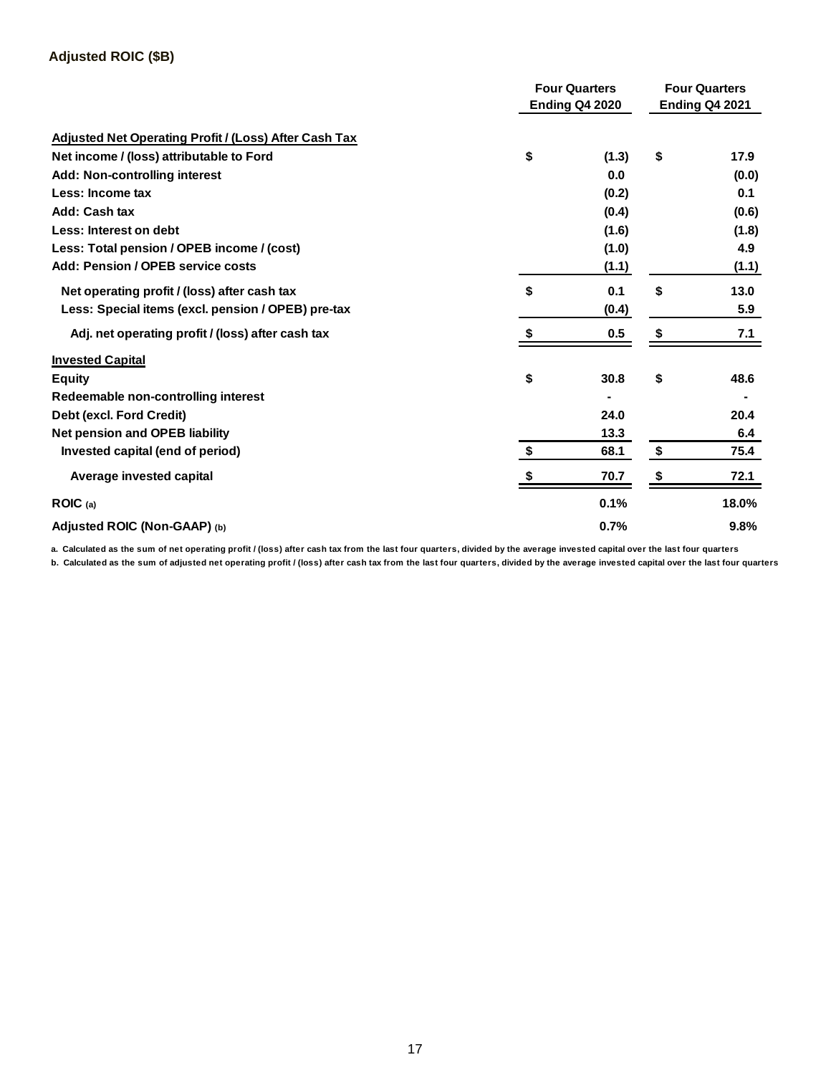|                                                              | <b>Four Quarters</b>  | <b>Four Quarters</b> |       |  |
|--------------------------------------------------------------|-----------------------|----------------------|-------|--|
|                                                              | <b>Ending Q4 2020</b> |                      |       |  |
| <b>Adjusted Net Operating Profit / (Loss) After Cash Tax</b> |                       |                      |       |  |
| Net income / (loss) attributable to Ford                     | \$<br>(1.3)           | \$                   | 17.9  |  |
| <b>Add: Non-controlling interest</b>                         | 0.0                   |                      | (0.0) |  |
| Less: Income tax                                             | (0.2)                 |                      | 0.1   |  |
| Add: Cash tax                                                | (0.4)                 |                      | (0.6) |  |
| Less: Interest on debt                                       | (1.6)                 |                      | (1.8) |  |
| Less: Total pension / OPEB income / (cost)                   | (1.0)                 |                      | 4.9   |  |
| Add: Pension / OPEB service costs                            | (1.1)                 |                      | (1.1) |  |
| Net operating profit / (loss) after cash tax                 | \$<br>0.1             | \$                   | 13.0  |  |
| Less: Special items (excl. pension / OPEB) pre-tax           | (0.4)                 |                      | 5.9   |  |
| Adj. net operating profit / (loss) after cash tax            | 0.5                   | \$                   | 7.1   |  |
| <b>Invested Capital</b>                                      |                       |                      |       |  |
| <b>Equity</b>                                                | \$<br>30.8            | \$                   | 48.6  |  |
| Redeemable non-controlling interest                          |                       |                      |       |  |
| Debt (excl. Ford Credit)                                     | 24.0                  |                      | 20.4  |  |
| <b>Net pension and OPEB liability</b>                        | 13.3                  |                      | 6.4   |  |
| Invested capital (end of period)                             | \$<br>68.1            | \$                   | 75.4  |  |
| Average invested capital                                     | 70.7                  | \$                   | 72.1  |  |
| ROIC(a)                                                      | 0.1%                  |                      | 18.0% |  |
| Adjusted ROIC (Non-GAAP) (b)                                 | 0.7%                  |                      | 9.8%  |  |

**a. Calculated as the sum of net operating profit / (loss) after cash tax from the last four quarters, divided by the average invested capital over the last four quarters**

**b. Calculated as the sum of adjusted net operating profit / (loss) after cash tax from the last four quarters, divided by the average invested capital over the last four quarters**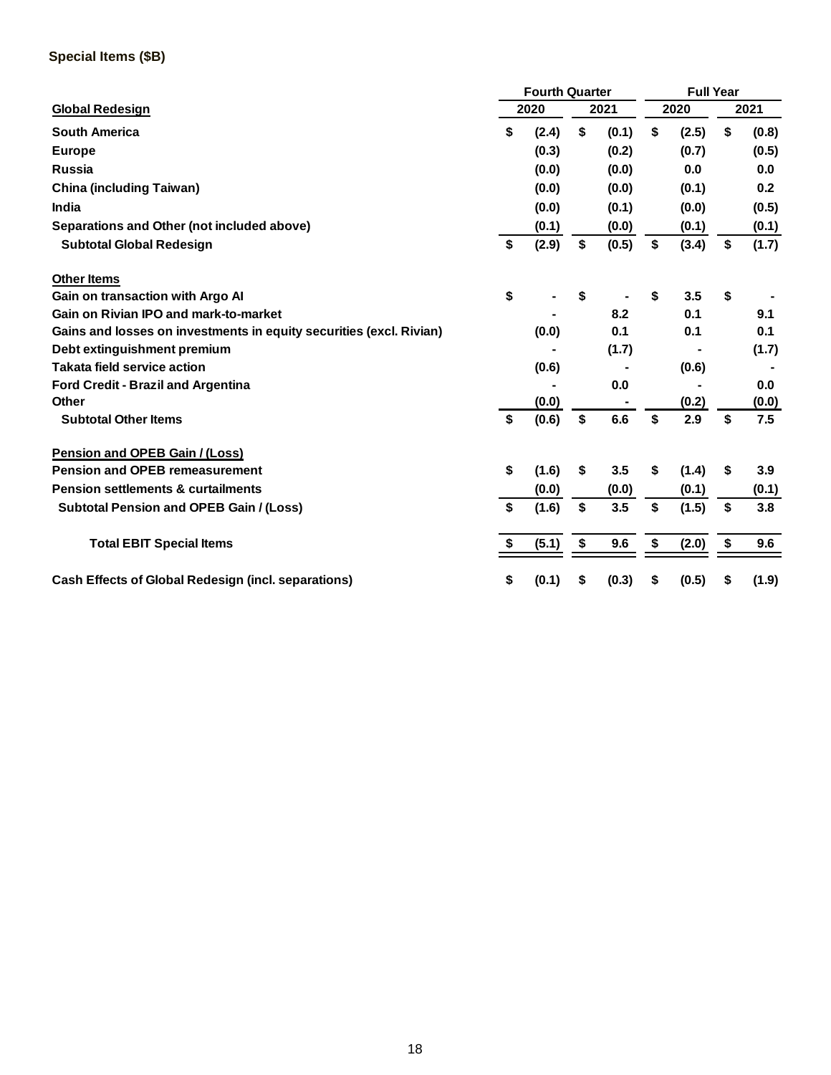## **Special Items (\$B)**

|                                                                     | <b>Fourth Quarter</b> |       |    |       | <b>Full Year</b> |       |    |       |  |
|---------------------------------------------------------------------|-----------------------|-------|----|-------|------------------|-------|----|-------|--|
| <b>Global Redesign</b>                                              |                       | 2020  |    | 2021  |                  | 2020  |    | 2021  |  |
| <b>South America</b>                                                | \$                    | (2.4) | \$ | (0.1) | \$               | (2.5) | \$ | (0.8) |  |
| <b>Europe</b>                                                       |                       | (0.3) |    | (0.2) |                  | (0.7) |    | (0.5) |  |
| <b>Russia</b>                                                       |                       | (0.0) |    | (0.0) |                  | 0.0   |    | 0.0   |  |
| <b>China (including Taiwan)</b>                                     |                       | (0.0) |    | (0.0) |                  | (0.1) |    | 0.2   |  |
| India                                                               |                       | (0.0) |    | (0.1) |                  | (0.0) |    | (0.5) |  |
| Separations and Other (not included above)                          |                       | (0.1) |    | (0.0) |                  | (0.1) |    | (0.1) |  |
| <b>Subtotal Global Redesign</b>                                     | \$                    | (2.9) | \$ | (0.5) | \$               | (3.4) | \$ | (1.7) |  |
| <b>Other Items</b>                                                  |                       |       |    |       |                  |       |    |       |  |
| Gain on transaction with Argo Al                                    | \$                    |       | \$ |       | \$               | 3.5   | \$ |       |  |
| Gain on Rivian IPO and mark-to-market                               |                       |       |    | 8.2   |                  | 0.1   |    | 9.1   |  |
| Gains and losses on investments in equity securities (excl. Rivian) |                       | (0.0) |    | 0.1   |                  | 0.1   |    | 0.1   |  |
| Debt extinguishment premium                                         |                       |       |    | (1.7) |                  |       |    | (1.7) |  |
| Takata field service action                                         |                       | (0.6) |    |       |                  | (0.6) |    |       |  |
| <b>Ford Credit - Brazil and Argentina</b>                           |                       |       |    | 0.0   |                  |       |    | 0.0   |  |
| Other                                                               |                       | (0.0) |    |       |                  | (0.2) |    | (0.0) |  |
| <b>Subtotal Other Items</b>                                         | \$                    | (0.6) | \$ | 6.6   | \$               | 2.9   | \$ | 7.5   |  |
| Pension and OPEB Gain / (Loss)                                      |                       |       |    |       |                  |       |    |       |  |
| <b>Pension and OPEB remeasurement</b>                               | \$                    | (1.6) | \$ | 3.5   | \$               | (1.4) | \$ | 3.9   |  |
| <b>Pension settlements &amp; curtailments</b>                       |                       | (0.0) |    | (0.0) |                  | (0.1) |    | (0.1) |  |
| <b>Subtotal Pension and OPEB Gain / (Loss)</b>                      | \$                    | (1.6) | \$ | 3.5   | \$               | (1.5) | \$ | 3.8   |  |
| <b>Total EBIT Special Items</b>                                     | S.                    | (5.1) | \$ | 9.6   | \$               | (2.0) | \$ | 9.6   |  |
| <b>Cash Effects of Global Redesign (incl. separations)</b>          | \$                    | (0.1) | \$ | (0.3) | \$               | (0.5) | S  | (1.9) |  |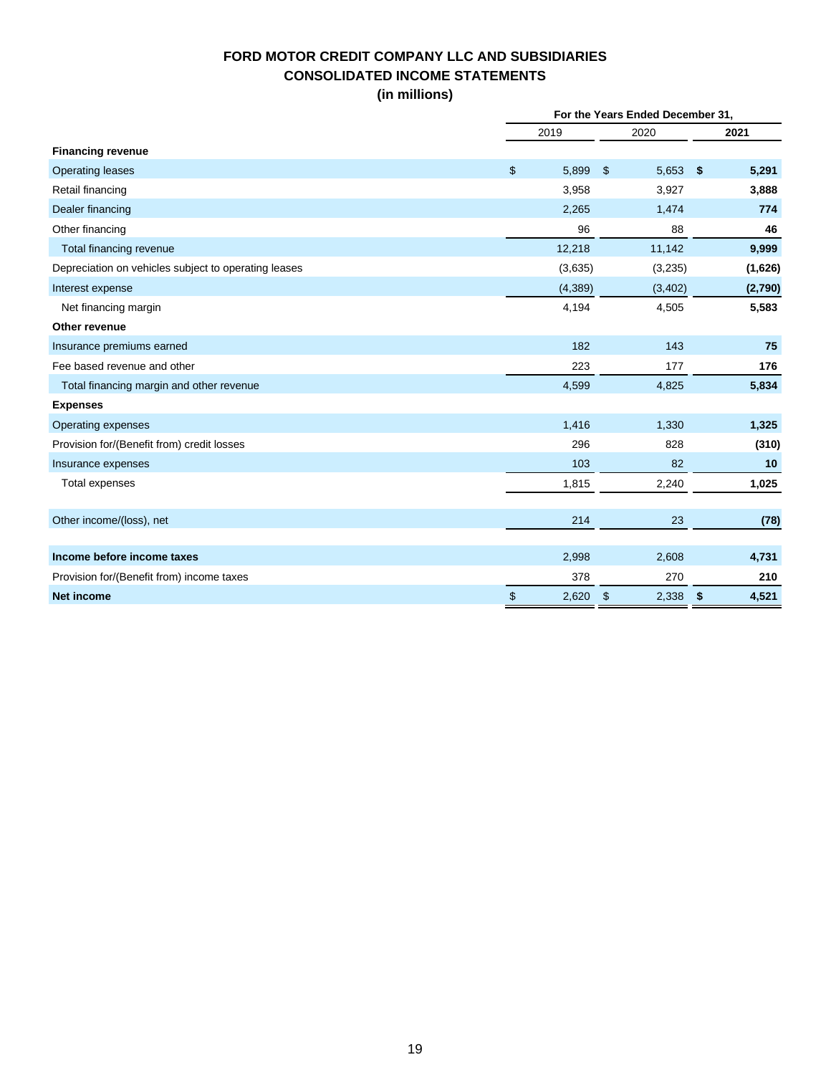## **FORD MOTOR CREDIT COMPANY LLC AND SUBSIDIARIES CONSOLIDATED INCOME STATEMENTS (in millions)**

|                                                      | For the Years Ended December 31, |         |                |         |               |         |
|------------------------------------------------------|----------------------------------|---------|----------------|---------|---------------|---------|
|                                                      | 2019                             |         | 2020           |         | 2021          |         |
| <b>Financing revenue</b>                             |                                  |         |                |         |               |         |
| <b>Operating leases</b>                              | \$                               | 5,899   | $\mathfrak{S}$ | 5,653   | $\frac{1}{2}$ | 5,291   |
| Retail financing                                     |                                  | 3,958   |                | 3,927   |               | 3,888   |
| Dealer financing                                     |                                  | 2,265   |                | 1,474   |               | 774     |
| Other financing                                      |                                  | 96      |                | 88      |               | 46      |
| Total financing revenue                              |                                  | 12,218  |                | 11,142  |               | 9,999   |
| Depreciation on vehicles subject to operating leases |                                  | (3,635) |                | (3,235) |               | (1,626) |
| Interest expense                                     |                                  | (4,389) |                | (3,402) |               | (2,790) |
| Net financing margin                                 |                                  | 4,194   |                | 4,505   |               | 5,583   |
| Other revenue                                        |                                  |         |                |         |               |         |
| Insurance premiums earned                            |                                  | 182     |                | 143     |               | 75      |
| Fee based revenue and other                          |                                  | 223     |                | 177     |               | 176     |
| Total financing margin and other revenue             |                                  | 4,599   |                | 4,825   |               | 5,834   |
| <b>Expenses</b>                                      |                                  |         |                |         |               |         |
| Operating expenses                                   |                                  | 1,416   |                | 1,330   |               | 1,325   |
| Provision for/(Benefit from) credit losses           |                                  | 296     |                | 828     |               | (310)   |
| Insurance expenses                                   |                                  | 103     |                | 82      |               | 10      |
| <b>Total expenses</b>                                |                                  | 1,815   |                | 2,240   |               | 1,025   |
|                                                      |                                  |         |                |         |               |         |
| Other income/(loss), net                             |                                  | 214     |                | 23      |               | (78)    |
| Income before income taxes                           |                                  | 2,998   |                | 2,608   |               | 4,731   |
| Provision for/(Benefit from) income taxes            |                                  | 378     |                | 270     |               | 210     |
| <b>Net income</b>                                    | \$                               | 2,620   | $\mathfrak{S}$ | 2,338   | \$            | 4,521   |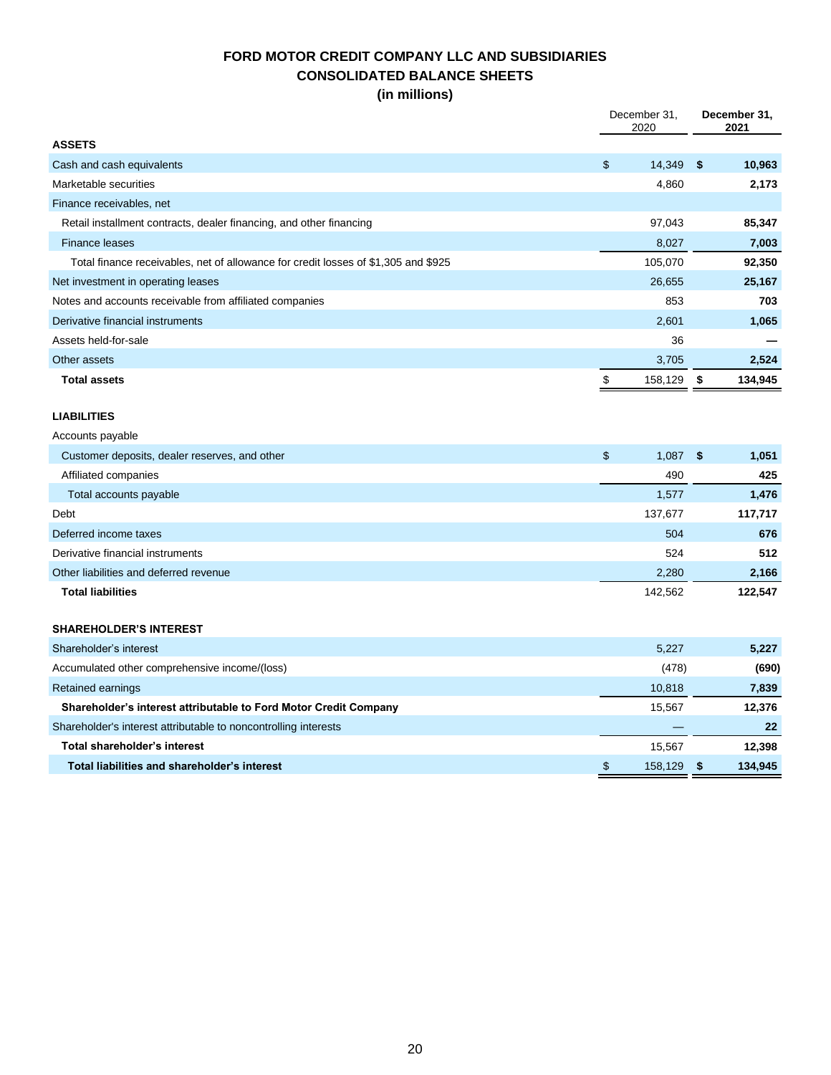## **FORD MOTOR CREDIT COMPANY LLC AND SUBSIDIARIES CONSOLIDATED BALANCE SHEETS (in millions)**

|                                                                                    | December 31,<br>2020 |    | December 31,<br>2021 |  |  |
|------------------------------------------------------------------------------------|----------------------|----|----------------------|--|--|
| <b>ASSETS</b>                                                                      |                      |    |                      |  |  |
| Cash and cash equivalents                                                          | \$<br>14,349         | \$ | 10,963               |  |  |
| Marketable securities                                                              | 4,860                |    | 2,173                |  |  |
| Finance receivables, net                                                           |                      |    |                      |  |  |
| Retail installment contracts, dealer financing, and other financing                | 97,043               |    | 85,347               |  |  |
| <b>Finance leases</b>                                                              | 8,027                |    | 7,003                |  |  |
| Total finance receivables, net of allowance for credit losses of \$1,305 and \$925 | 105,070              |    | 92,350               |  |  |
| Net investment in operating leases                                                 | 26,655               |    | 25,167               |  |  |
| Notes and accounts receivable from affiliated companies                            | 853                  |    | 703                  |  |  |
| Derivative financial instruments                                                   | 2,601                |    | 1,065                |  |  |
| Assets held-for-sale                                                               | 36                   |    |                      |  |  |
| Other assets                                                                       | 3,705                |    | 2,524                |  |  |
| <b>Total assets</b>                                                                | \$<br>158,129        | \$ | 134,945              |  |  |
|                                                                                    |                      |    |                      |  |  |
| <b>LIABILITIES</b>                                                                 |                      |    |                      |  |  |
| Accounts payable                                                                   |                      |    |                      |  |  |
| Customer deposits, dealer reserves, and other                                      | \$<br>1,087          | \$ | 1,051                |  |  |
| Affiliated companies                                                               | 490                  |    | 425                  |  |  |
| Total accounts payable                                                             | 1,577                |    | 1,476                |  |  |
| Debt                                                                               | 137,677              |    | 117,717              |  |  |
| Deferred income taxes                                                              | 504                  |    | 676                  |  |  |
| Derivative financial instruments                                                   | 524                  |    | 512                  |  |  |
| Other liabilities and deferred revenue                                             | 2,280                |    | 2,166                |  |  |
| <b>Total liabilities</b>                                                           | 142,562              |    | 122,547              |  |  |
|                                                                                    |                      |    |                      |  |  |
| <b>SHAREHOLDER'S INTEREST</b>                                                      |                      |    |                      |  |  |
| Shareholder's interest                                                             | 5,227                |    | 5,227                |  |  |
| Accumulated other comprehensive income/(loss)                                      | (478)                |    | (690)                |  |  |
| Retained earnings                                                                  | 10,818               |    | 7,839                |  |  |
| Shareholder's interest attributable to Ford Motor Credit Company                   | 15,567               |    | 12,376               |  |  |
| Shareholder's interest attributable to noncontrolling interests                    |                      |    | 22                   |  |  |
| <b>Total shareholder's interest</b>                                                | 15,567               |    | 12,398               |  |  |
| Total liabilities and shareholder's interest                                       | \$<br>158,129        | \$ | 134,945              |  |  |
|                                                                                    |                      |    |                      |  |  |